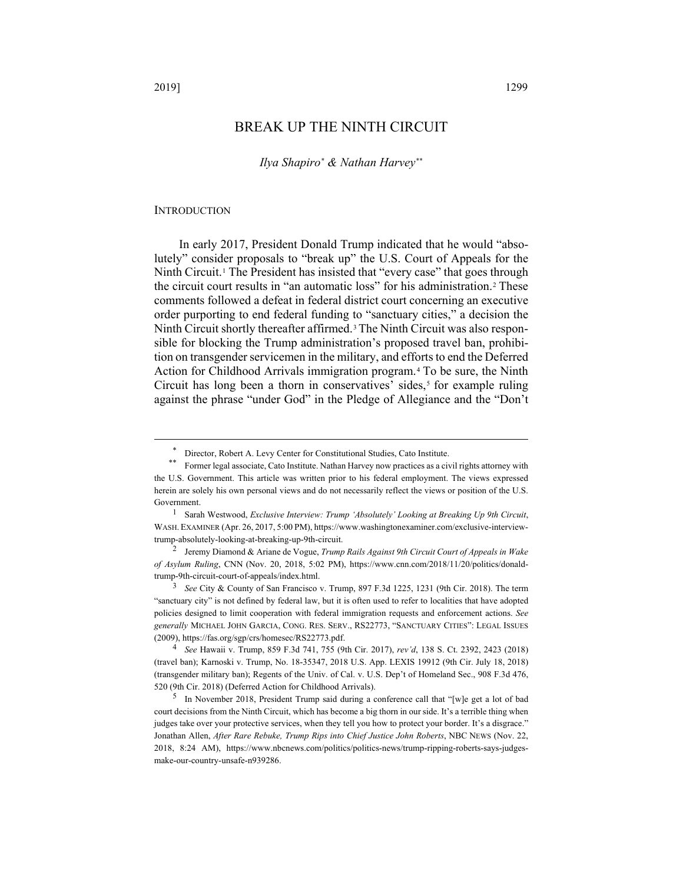*Ilya Shapiro*[\\*](#page-0-0) *& Nathan Harvey*[\\*\\*](#page-0-1)

### **INTRODUCTION**

In early 2017, President Donald Trump indicated that he would "absolutely" consider proposals to "break up" the U.S. Court of Appeals for the Ninth Circuit.[1](#page-0-2) The President has insisted that "every case" that goes through the circuit court results in "an automatic loss" for his administration.[2](#page-0-3) These comments followed a defeat in federal district court concerning an executive order purporting to end federal funding to "sanctuary cities," a decision the Ninth Circuit shortly thereafter affirmed.[3](#page-0-4) The Ninth Circuit was also responsible for blocking the Trump administration's proposed travel ban, prohibition on transgender servicemen in the military, and efforts to end the Deferred Action for Childhood Arrivals immigration program.[4](#page-0-5) To be sure, the Ninth Circuit has long been a thorn in conservatives' sides,<sup>[5](#page-0-6)</sup> for example ruling against the phrase "under God" in the Pledge of Allegiance and the "Don't

<sup>\*</sup> Director, Robert A. Levy Center for Constitutional Studies, Cato Institute.

<span id="page-0-1"></span><span id="page-0-0"></span><sup>\*\*</sup> Former legal associate, Cato Institute. Nathan Harvey now practices as a civil rights attorney with the U.S. Government. This article was written prior to his federal employment. The views expressed herein are solely his own personal views and do not necessarily reflect the views or position of the U.S. Government.

<span id="page-0-2"></span><sup>1</sup> Sarah Westwood, *Exclusive Interview: Trump 'Absolutely' Looking at Breaking Up 9th Circuit*, WASH. EXAMINER (Apr. 26, 2017, 5:00 PM)[, https://www.washingtonexaminer.com/exclusive-interview](https://www.washingtonexaminer.com/exclusive-interview-trump-absolutely-looking-at-breaking-up-9th-circuit)[trump-absolutely-looking-at-breaking-up-9th-circuit.](https://www.washingtonexaminer.com/exclusive-interview-trump-absolutely-looking-at-breaking-up-9th-circuit)

<span id="page-0-3"></span><sup>2</sup> Jeremy Diamond & Ariane de Vogue, *Trump Rails Against 9th Circuit Court of Appeals in Wake of Asylum Ruling*, CNN (Nov. 20, 2018, 5:02 PM), [https://www.cnn.com/2018/11/20/politics/donald](https://www.cnn.com/2018/11/20/politics/donald-trump-9th-circuit-court-of-appeals/index.html)[trump-9th-circuit-court-of-appeals/index.html.](https://www.cnn.com/2018/11/20/politics/donald-trump-9th-circuit-court-of-appeals/index.html)

<span id="page-0-4"></span><sup>3</sup> *See* City & County of San Francisco v. Trump, 897 F.3d 1225, 1231 (9th Cir. 2018). The term "sanctuary city" is not defined by federal law, but it is often used to refer to localities that have adopted policies designed to limit cooperation with federal immigration requests and enforcement actions. *See generally* MICHAEL JOHN GARCIA, CONG. RES. SERV., RS22773, "SANCTUARY CITIES": LEGAL ISSUES (2009)[, https://fas.org/sgp/crs/homesec/RS22773.pdf.](https://fas.org/sgp/crs/homesec/RS22773.pdf)

<span id="page-0-5"></span><sup>4</sup> *See* Hawaii v. Trump, 859 F.3d 741, 755 (9th Cir. 2017), *rev'd*, 138 S. Ct. 2392, 2423 (2018) (travel ban); Karnoski v. Trump, No. 18-35347, 2018 U.S. App. LEXIS 19912 (9th Cir. July 18, 2018) (transgender military ban); Regents of the Univ. of Cal. v. U.S. Dep't of Homeland Sec., 908 F.3d 476, 520 (9th Cir. 2018) (Deferred Action for Childhood Arrivals).

<span id="page-0-6"></span><sup>&</sup>lt;sup>5</sup> In November 2018, President Trump said during a conference call that "[w]e get a lot of bad court decisions from the Ninth Circuit, which has become a big thorn in our side. It's a terrible thing when judges take over your protective services, when they tell you how to protect your border. It's a disgrace." Jonathan Allen, *After Rare Rebuke, Trump Rips into Chief Justice John Roberts*, NBC NEWS (Nov. 22, 2018, 8:24 AM), [https://www.nbcnews.com/politics/politics-news/trump-ripping-roberts-says-judges](https://www.nbcnews.com/politics/politics-news/trump-ripping-roberts-says-judges-make-our-country-unsafe-n939286)[make-our-country-unsafe-n939286.](https://www.nbcnews.com/politics/politics-news/trump-ripping-roberts-says-judges-make-our-country-unsafe-n939286)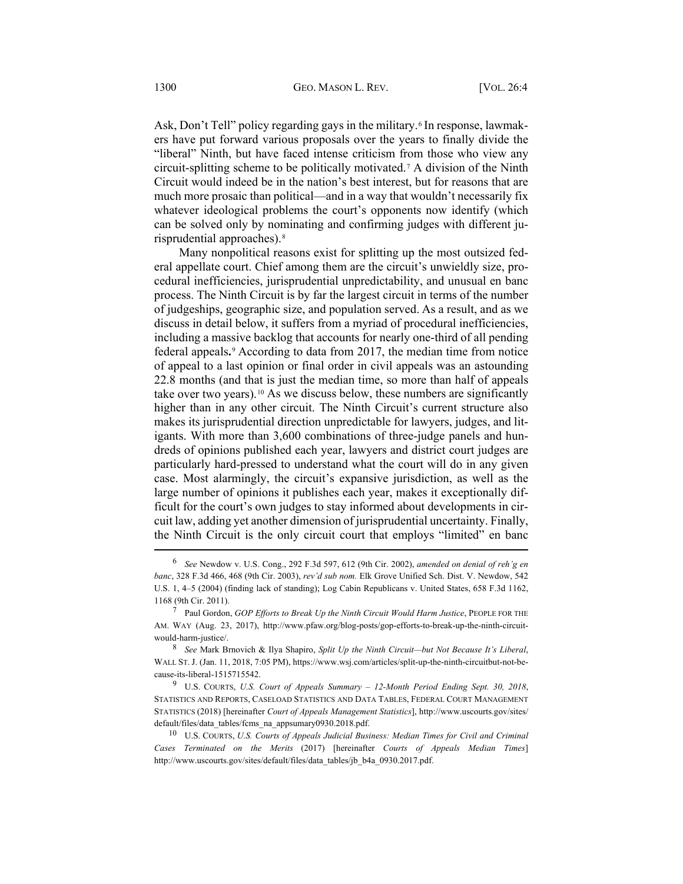Ask, Don't Tell" policy regarding gays in the military.<sup>[6](#page-1-0)</sup> In response, lawmakers have put forward various proposals over the years to finally divide the "liberal" Ninth, but have faced intense criticism from those who view any circuit-splitting scheme to be politically motivated.[7](#page-1-1) A division of the Ninth Circuit would indeed be in the nation's best interest, but for reasons that are much more prosaic than political—and in a way that wouldn't necessarily fix whatever ideological problems the court's opponents now identify (which can be solved only by nominating and confirming judges with different jurisprudential approaches).[8](#page-1-2)

<span id="page-1-6"></span><span id="page-1-5"></span>Many nonpolitical reasons exist for splitting up the most outsized federal appellate court. Chief among them are the circuit's unwieldly size, procedural inefficiencies, jurisprudential unpredictability, and unusual en banc process. The Ninth Circuit is by far the largest circuit in terms of the number of judgeships, geographic size, and population served. As a result, and as we discuss in detail below, it suffers from a myriad of procedural inefficiencies, including a massive backlog that accounts for nearly one-third of all pending federal appeals**.**[9](#page-1-3) According to data from 2017, the median time from notice of appeal to a last opinion or final order in civil appeals was an astounding 22.8 months (and that is just the median time, so more than half of appeals take over two years).[10](#page-1-4) As we discuss below, these numbers are significantly higher than in any other circuit. The Ninth Circuit's current structure also makes its jurisprudential direction unpredictable for lawyers, judges, and litigants. With more than 3,600 combinations of three-judge panels and hundreds of opinions published each year, lawyers and district court judges are particularly hard-pressed to understand what the court will do in any given case. Most alarmingly, the circuit's expansive jurisdiction, as well as the large number of opinions it publishes each year, makes it exceptionally difficult for the court's own judges to stay informed about developments in circuit law, adding yet another dimension of jurisprudential uncertainty. Finally, the Ninth Circuit is the only circuit court that employs "limited" en banc

<span id="page-1-0"></span><sup>6</sup> *See* Newdow v. U.S. Cong., 292 F.3d 597, 612 (9th Cir. 2002), *amended on denial of reh'g en banc*, 328 F.3d 466, 468 (9th Cir. 2003), *rev'd sub nom.* Elk Grove Unified Sch. Dist. V. Newdow, 542 U.S. 1, 4–5 (2004) (finding lack of standing); Log Cabin Republicans v. United States, 658 F.3d 1162, 1168 (9th Cir. 2011).

<span id="page-1-1"></span><sup>7</sup> Paul Gordon, *GOP Efforts to Break Up the Ninth Circuit Would Harm Justice*, PEOPLE FOR THE AM. WAY (Aug. 23, 2017), [http://www.pfaw.org/blog-posts/gop-efforts-to-break-up-the-ninth-circuit](http://www.pfaw.org/blog-posts/gop-efforts-to-break-up-the-ninth-circuit-would-harm-justice/)[would-harm-justice/.](http://www.pfaw.org/blog-posts/gop-efforts-to-break-up-the-ninth-circuit-would-harm-justice/)

<span id="page-1-2"></span><sup>8</sup> *See* Mark Brnovich & Ilya Shapiro, *Split Up the Ninth Circuit—but Not Because It's Liberal*, WALL ST.J. (Jan. 11, 2018, 7:05 PM)[, https://www.wsj.com/articles/split-up-the-ninth-circuitbut-not-be](https://www.wsj.com/articles/split-up-the-ninth-circuitbut-not-because-its-liberal-1515715542)[cause-its-liberal-1515715542.](https://www.wsj.com/articles/split-up-the-ninth-circuitbut-not-because-its-liberal-1515715542) 9 U.S. COURTS, *U.S. Court of Appeals Summary – 12-Month Period Ending Sept. 30, 2018*,

<span id="page-1-3"></span>STATISTICS AND REPORTS, CASELOAD STATISTICS AND DATA TABLES, FEDERAL COURT MANAGEMENT STATISTICS (2018) [hereinafter *Court of Appeals Management Statistics*], [http://www.uscourts.gov/sites/](http://www.uscourts.gov/sites/default/files/data_tables/fcms_na_appsumary0930.2018.pdf) [default/files/data\\_tables/fcms\\_na\\_appsumary0930.2018.pdf.](http://www.uscourts.gov/sites/default/files/data_tables/fcms_na_appsumary0930.2018.pdf)

<span id="page-1-4"></span><sup>10</sup> U.S. COURTS, *U.S. Courts of Appeals Judicial Business: Median Times for Civil and Criminal Cases Terminated on the Merits* (2017) [hereinafter *Courts of Appeals Median Times*] [http://www.uscourts.gov/sites/default/files/data\\_tables/jb\\_b4a\\_0930.2017.pdf.](http://www.uscourts.gov/sites/default/files/data_tables/jb_b4a_0930.2017.pdf)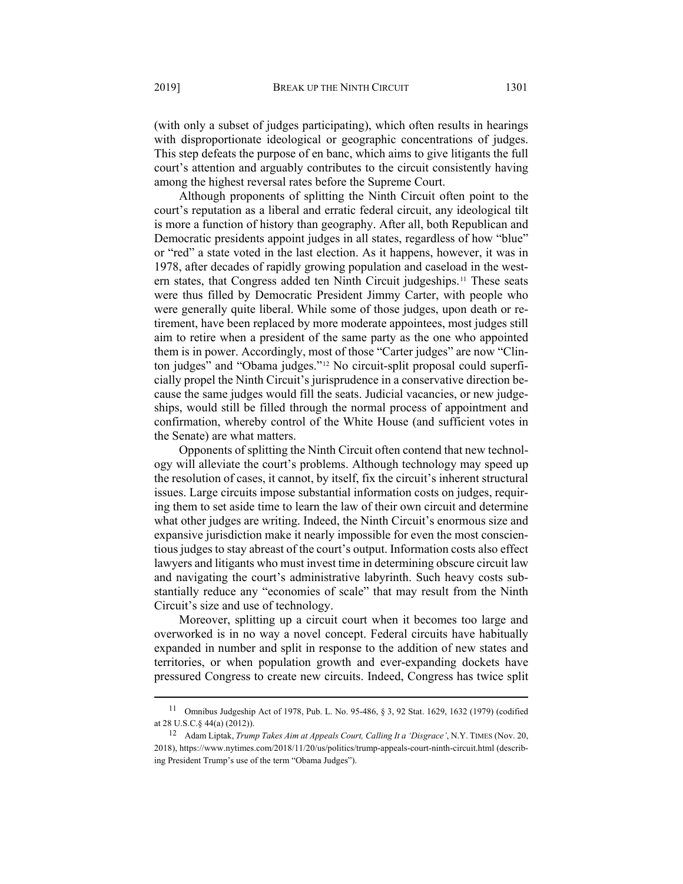(with only a subset of judges participating), which often results in hearings with disproportionate ideological or geographic concentrations of judges. This step defeats the purpose of en banc, which aims to give litigants the full court's attention and arguably contributes to the circuit consistently having among the highest reversal rates before the Supreme Court.

Although proponents of splitting the Ninth Circuit often point to the court's reputation as a liberal and erratic federal circuit, any ideological tilt is more a function of history than geography. After all, both Republican and Democratic presidents appoint judges in all states, regardless of how "blue" or "red" a state voted in the last election. As it happens, however, it was in 1978, after decades of rapidly growing population and caseload in the western states, that Congress added ten Ninth Circuit judgeships[.11](#page-2-0) These seats were thus filled by Democratic President Jimmy Carter, with people who were generally quite liberal. While some of those judges, upon death or retirement, have been replaced by more moderate appointees, most judges still aim to retire when a president of the same party as the one who appointed them is in power. Accordingly, most of those "Carter judges" are now "Clin-ton judges" and "Obama judges."<sup>[12](#page-2-1)</sup> No circuit-split proposal could superficially propel the Ninth Circuit's jurisprudence in a conservative direction because the same judges would fill the seats. Judicial vacancies, or new judgeships, would still be filled through the normal process of appointment and confirmation, whereby control of the White House (and sufficient votes in the Senate) are what matters.

Opponents of splitting the Ninth Circuit often contend that new technology will alleviate the court's problems. Although technology may speed up the resolution of cases, it cannot, by itself, fix the circuit's inherent structural issues. Large circuits impose substantial information costs on judges, requiring them to set aside time to learn the law of their own circuit and determine what other judges are writing. Indeed, the Ninth Circuit's enormous size and expansive jurisdiction make it nearly impossible for even the most conscientious judges to stay abreast of the court's output. Information costs also effect lawyers and litigants who must invest time in determining obscure circuit law and navigating the court's administrative labyrinth. Such heavy costs substantially reduce any "economies of scale" that may result from the Ninth Circuit's size and use of technology.

Moreover, splitting up a circuit court when it becomes too large and overworked is in no way a novel concept. Federal circuits have habitually expanded in number and split in response to the addition of new states and territories, or when population growth and ever-expanding dockets have pressured Congress to create new circuits. Indeed, Congress has twice split

<span id="page-2-0"></span><sup>11</sup> Omnibus Judgeship Act of 1978, Pub. L. No. 95-486, § 3, 92 Stat. 1629, 1632 (1979) (codified at 28 U.S.C.§ 44(a) (2012)).

<span id="page-2-1"></span><sup>12</sup> Adam Liptak, *Trump Takes Aim at Appeals Court, Calling It a 'Disgrace'*, N.Y. TIMES (Nov. 20, 2018),<https://www.nytimes.com/2018/11/20/us/politics/trump-appeals-court-ninth-circuit.html> (describing President Trump's use of the term "Obama Judges").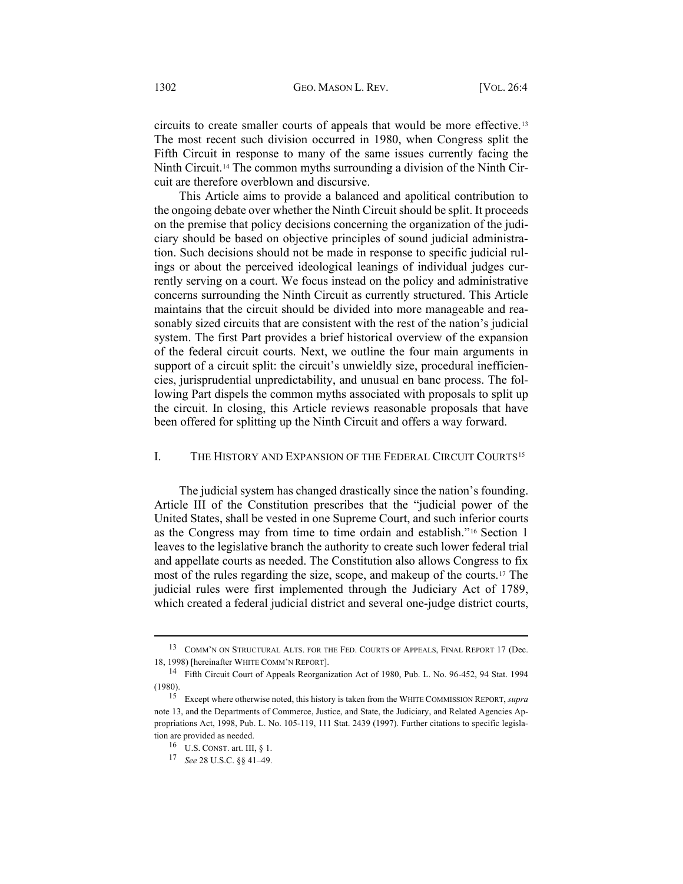<span id="page-3-0"></span>circuits to create smaller courts of appeals that would be more effective.[13](#page-3-1) The most recent such division occurred in 1980, when Congress split the Fifth Circuit in response to many of the same issues currently facing the Ninth Circuit.[14](#page-3-2) The common myths surrounding a division of the Ninth Circuit are therefore overblown and discursive.

This Article aims to provide a balanced and apolitical contribution to the ongoing debate over whether the Ninth Circuit should be split. It proceeds on the premise that policy decisions concerning the organization of the judiciary should be based on objective principles of sound judicial administration. Such decisions should not be made in response to specific judicial rulings or about the perceived ideological leanings of individual judges currently serving on a court. We focus instead on the policy and administrative concerns surrounding the Ninth Circuit as currently structured. This Article maintains that the circuit should be divided into more manageable and reasonably sized circuits that are consistent with the rest of the nation's judicial system. The first Part provides a brief historical overview of the expansion of the federal circuit courts. Next, we outline the four main arguments in support of a circuit split: the circuit's unwieldly size, procedural inefficiencies, jurisprudential unpredictability, and unusual en banc process. The following Part dispels the common myths associated with proposals to split up the circuit. In closing, this Article reviews reasonable proposals that have been offered for splitting up the Ninth Circuit and offers a way forward.

## I. THE HISTORY AND EXPANSION OF THE FEDERAL CIRCUIT COURTS<sup>[15](#page-3-3)</sup>

The judicial system has changed drastically since the nation's founding. Article III of the Constitution prescribes that the "judicial power of the United States, shall be vested in one Supreme Court, and such inferior courts as the Congress may from time to time ordain and establish."[16](#page-3-4) Section 1 leaves to the legislative branch the authority to create such lower federal trial and appellate courts as needed. The Constitution also allows Congress to fix most of the rules regarding the size, scope, and makeup of the courts[.17](#page-3-5) The judicial rules were first implemented through the Judiciary Act of 1789, which created a federal judicial district and several one-judge district courts,

<span id="page-3-1"></span><sup>13</sup> COMM'N ON STRUCTURAL ALTS. FOR THE FED. COURTS OF APPEALS, FINAL REPORT 17 (Dec. 18, 1998) [hereinafter WHITE COMM'N REPORT].

<span id="page-3-2"></span><sup>14</sup> Fifth Circuit Court of Appeals Reorganization Act of 1980, Pub. L. No. 96-452, 94 Stat. 1994 (1980).

<span id="page-3-5"></span><span id="page-3-4"></span><span id="page-3-3"></span><sup>15</sup> Except where otherwise noted, this history is taken from the WHITE COMMISSION REPORT, *supra* not[e 13,](#page-3-0) and the Departments of Commerce, Justice, and State, the Judiciary, and Related Agencies Appropriations Act, 1998, Pub. L. No. 105-119, 111 Stat. 2439 (1997). Further citations to specific legislation are provided as needed.

<sup>16</sup> U.S. CONST. art. III, § 1.

<sup>17</sup> *See* 28 U.S.C. §§ 41–49.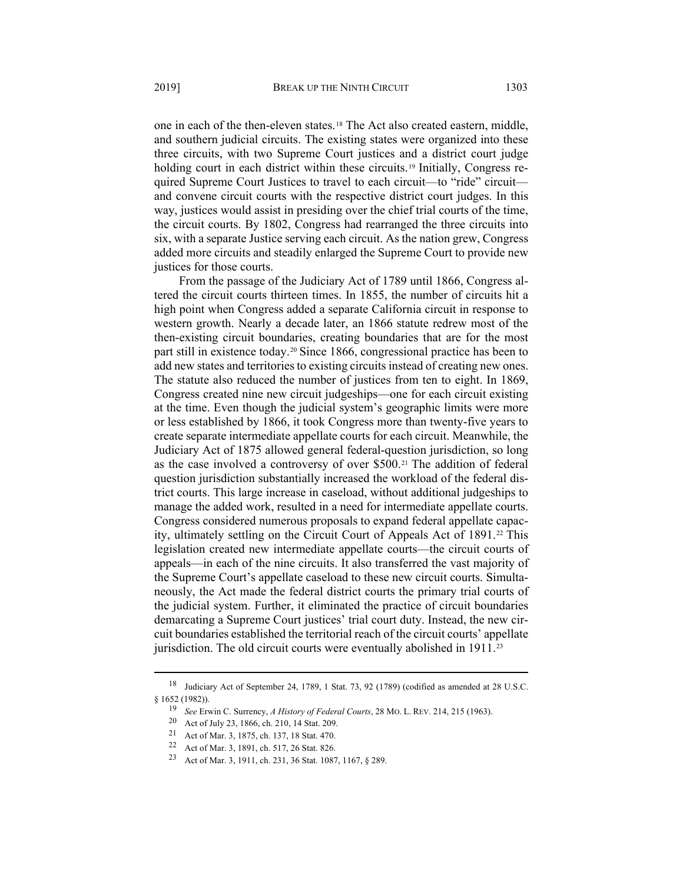one in each of the then-eleven states.[18](#page-4-0) The Act also created eastern, middle, and southern judicial circuits. The existing states were organized into these three circuits, with two Supreme Court justices and a district court judge holding court in each district within these circuits.<sup>[19](#page-4-1)</sup> Initially, Congress required Supreme Court Justices to travel to each circuit—to "ride" circuit and convene circuit courts with the respective district court judges. In this way, justices would assist in presiding over the chief trial courts of the time, the circuit courts. By 1802, Congress had rearranged the three circuits into six, with a separate Justice serving each circuit. As the nation grew, Congress added more circuits and steadily enlarged the Supreme Court to provide new justices for those courts.

From the passage of the Judiciary Act of 1789 until 1866, Congress altered the circuit courts thirteen times. In 1855, the number of circuits hit a high point when Congress added a separate California circuit in response to western growth. Nearly a decade later, an 1866 statute redrew most of the then-existing circuit boundaries, creating boundaries that are for the most part still in existence today.[20](#page-4-2) Since 1866, congressional practice has been to add new states and territories to existing circuits instead of creating new ones. The statute also reduced the number of justices from ten to eight. In 1869, Congress created nine new circuit judgeships—one for each circuit existing at the time. Even though the judicial system's geographic limits were more or less established by 1866, it took Congress more than twenty-five years to create separate intermediate appellate courts for each circuit. Meanwhile, the Judiciary Act of 1875 allowed general federal-question jurisdiction, so long as the case involved a controversy of over \$500.[21](#page-4-3) The addition of federal question jurisdiction substantially increased the workload of the federal district courts. This large increase in caseload, without additional judgeships to manage the added work, resulted in a need for intermediate appellate courts. Congress considered numerous proposals to expand federal appellate capac-ity, ultimately settling on the Circuit Court of Appeals Act of 1891.<sup>[22](#page-4-4)</sup> This legislation created new intermediate appellate courts—the circuit courts of appeals—in each of the nine circuits. It also transferred the vast majority of the Supreme Court's appellate caseload to these new circuit courts. Simultaneously, the Act made the federal district courts the primary trial courts of the judicial system. Further, it eliminated the practice of circuit boundaries demarcating a Supreme Court justices' trial court duty. Instead, the new circuit boundaries established the territorial reach of the circuit courts' appellate jurisdiction. The old circuit courts were eventually abolished in 1911.<sup>[23](#page-4-5)</sup>

<span id="page-4-4"></span><span id="page-4-3"></span><span id="page-4-2"></span><span id="page-4-1"></span><span id="page-4-0"></span><sup>18</sup> Judiciary Act of September 24, 1789, 1 Stat. 73, 92 (1789) (codified as amended at 28 U.S.C. § 1652 (1982)).

<sup>19</sup> *See* Erwin C. Surrency, *A History of Federal Courts*, 28 MO. L. REV. 214, 215 (1963).

<sup>20</sup> Act of July 23, 1866, ch. 210, 14 Stat. 209.

<sup>21</sup> Act of Mar. 3, 1875, ch. 137, 18 Stat. 470.

<span id="page-4-5"></span><sup>22</sup> Act of Mar. 3, 1891, ch. 517, 26 Stat. 826.

<sup>23</sup> Act of Mar. 3, 1911, ch. 231, 36 Stat. 1087, 1167, § 289.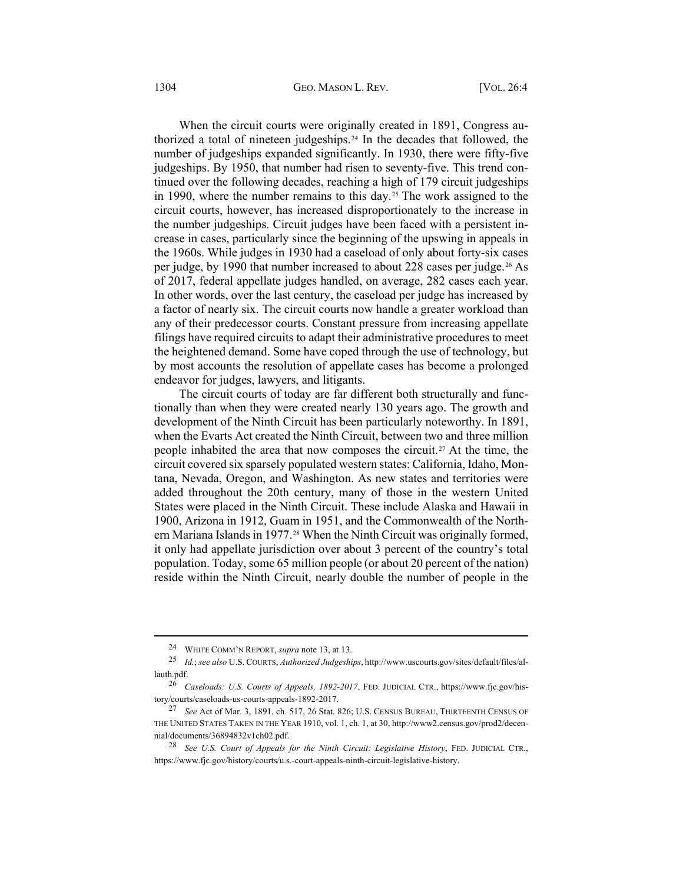When the circuit courts were originally created in 1891, Congress authorized a total of nineteen judgeships.[24](#page-5-0) In the decades that followed, the number of judgeships expanded significantly. In 1930, there were fifty-five judgeships. By 1950, that number had risen to seventy-five. This trend continued over the following decades, reaching a high of 179 circuit judgeships in 1990, where the number remains to this day.[25](#page-5-1) The work assigned to the circuit courts, however, has increased disproportionately to the increase in the number judgeships. Circuit judges have been faced with a persistent increase in cases, particularly since the beginning of the upswing in appeals in the 1960s. While judges in 1930 had a caseload of only about forty-six cases per judge, by 1990 that number increased to about 228 cases per judge.[26](#page-5-2) As of 2017, federal appellate judges handled, on average, 282 cases each year. In other words, over the last century, the caseload per judge has increased by a factor of nearly six. The circuit courts now handle a greater workload than any of their predecessor courts. Constant pressure from increasing appellate filings have required circuits to adapt their administrative procedures to meet the heightened demand. Some have coped through the use of technology, but by most accounts the resolution of appellate cases has become a prolonged endeavor for judges, lawyers, and litigants.

The circuit courts of today are far different both structurally and functionally than when they were created nearly 130 years ago. The growth and development of the Ninth Circuit has been particularly noteworthy. In 1891, when the Evarts Act created the Ninth Circuit, between two and three million people inhabited the area that now composes the circuit.<sup>27</sup> At the time, the circuit covered six sparsely populated western states: California, Idaho, Montana, Nevada, Oregon, and Washington. As new states and territories were added throughout the 20th century, many of those in the western United States were placed in the Ninth Circuit. These include Alaska and Hawaii in 1900, Arizona in 1912, Guam in 1951, and the Commonwealth of the Northern Mariana Islands in 1977.[28](#page-5-4) When the Ninth Circuit was originally formed, it only had appellate jurisdiction over about 3 percent of the country's total population. Today, some 65 million people (or about 20 percent of the nation) reside within the Ninth Circuit, nearly double the number of people in the

<sup>24</sup> WHITE COMM'N REPORT, *supra* not[e 13,](#page-3-0) at 13.

<span id="page-5-1"></span><span id="page-5-0"></span><sup>25</sup> *Id.*; *see also* U.S. COURTS, *Authorized Judgeships*, [http://www.uscourts.gov/sites/default/files/al](http://www.uscourts.gov/sites/default/files/allauth.pdf)[lauth.pdf.](http://www.uscourts.gov/sites/default/files/allauth.pdf)

<span id="page-5-2"></span><sup>26</sup> *Caseloads: U.S. Courts of Appeals, 1892-2017*, FED. JUDICIAL CTR., [https://www.fjc.gov/his](https://www.fjc.gov/history/courts/caseloads-us-courts-appeals-1892-2017)[tory/courts/caseloads-us-courts-appeals-1892-2017.](https://www.fjc.gov/history/courts/caseloads-us-courts-appeals-1892-2017)

<span id="page-5-3"></span><sup>27</sup> *See* Act of Mar. 3, 1891, ch. 517, 26 Stat. 826; U.S. CENSUS BUREAU, THIRTEENTH CENSUS OF THE UNITED STATES TAKEN IN THE YEAR 1910, vol. 1, ch. 1, at 30[, http://www2.census.gov/prod2/decen](http://www2.census.gov/prod2/decennial/documents/36894832v1ch02.pdf)[nial/documents/36894832v1ch02.pdf.](http://www2.census.gov/prod2/decennial/documents/36894832v1ch02.pdf) 

<span id="page-5-4"></span><sup>28</sup> *See U.S. Court of Appeals for the Ninth Circuit: Legislative History*, FED. JUDICIAL CTR., [https://www.fjc.gov/history/courts/u.s.-court-appeals-ninth-circuit-legislative-history.](https://www.fjc.gov/history/courts/u.s.-court-appeals-ninth-circuit-legislative-history)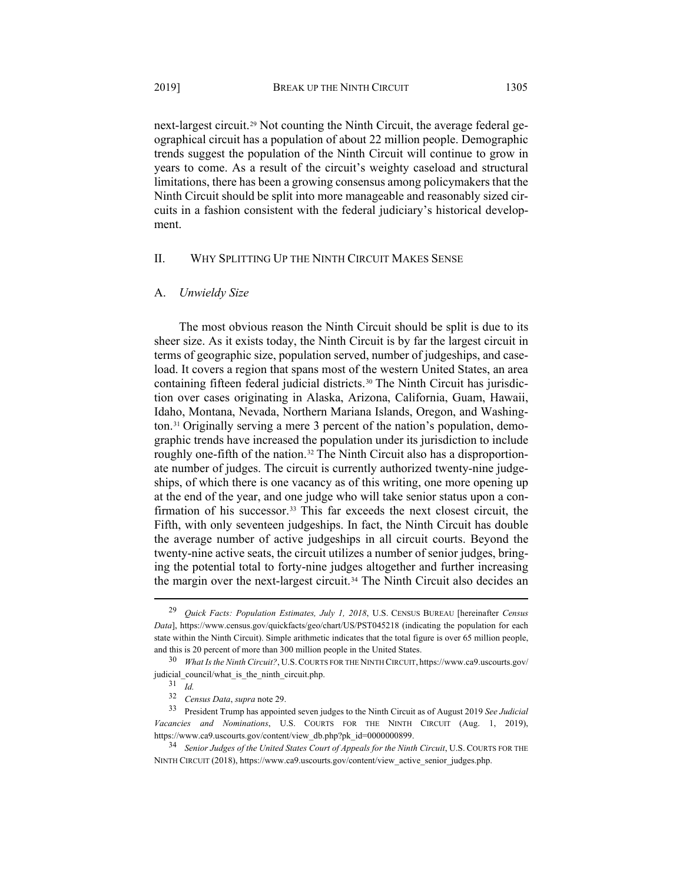<span id="page-6-6"></span>next-largest circuit.[29](#page-6-0) Not counting the Ninth Circuit, the average federal geographical circuit has a population of about 22 million people. Demographic trends suggest the population of the Ninth Circuit will continue to grow in years to come. As a result of the circuit's weighty caseload and structural limitations, there has been a growing consensus among policymakers that the Ninth Circuit should be split into more manageable and reasonably sized circuits in a fashion consistent with the federal judiciary's historical development.

## II. WHY SPLITTING UP THE NINTH CIRCUIT MAKES SENSE

## A. *Unwieldy Size*

The most obvious reason the Ninth Circuit should be split is due to its sheer size. As it exists today, the Ninth Circuit is by far the largest circuit in terms of geographic size, population served, number of judgeships, and caseload. It covers a region that spans most of the western United States, an area containing fifteen federal judicial districts.[30](#page-6-1) The Ninth Circuit has jurisdiction over cases originating in Alaska, Arizona, California, Guam, Hawaii, Idaho, Montana, Nevada, Northern Mariana Islands, Oregon, and Washington.[31](#page-6-2) Originally serving a mere 3 percent of the nation's population, demographic trends have increased the population under its jurisdiction to include roughly one-fifth of the nation.<sup>[32](#page-6-3)</sup> The Ninth Circuit also has a disproportionate number of judges. The circuit is currently authorized twenty-nine judgeships, of which there is one vacancy as of this writing, one more opening up at the end of the year, and one judge who will take senior status upon a con-firmation of his successor.<sup>[33](#page-6-4)</sup> This far exceeds the next closest circuit, the Fifth, with only seventeen judgeships. In fact, the Ninth Circuit has double the average number of active judgeships in all circuit courts. Beyond the twenty-nine active seats, the circuit utilizes a number of senior judges, bringing the potential total to forty-nine judges altogether and further increasing the margin over the next-largest circuit.[34](#page-6-5) The Ninth Circuit also decides an

<span id="page-6-0"></span><sup>29</sup> *Quick Facts: Population Estimates, July 1, 2018*, U.S. CENSUS BUREAU [hereinafter *Census Data*],<https://www.census.gov/quickfacts/geo/chart/US/PST045218> (indicating the population for each state within the Ninth Circuit). Simple arithmetic indicates that the total figure is over 65 million people, and this is 20 percent of more than 300 million people in the United States.

<span id="page-6-2"></span><span id="page-6-1"></span><sup>30</sup> *What Is the Ninth Circuit?*, U.S.COURTS FOR THE NINTH CIRCUIT, [https://www.ca9.uscourts.gov/](https://www.ca9.uscourts.gov/judicial_council/what_is_the_ninth_circuit.php) judicial council/what is the ninth circuit.php.

<sup>31</sup> *Id.*

<sup>32</sup> *Census Data*, *supra* note 29.

<span id="page-6-4"></span><span id="page-6-3"></span><sup>33</sup> President Trump has appointed seven judges to the Ninth Circuit as of August 2019 *See Judicial Vacancies and Nominations*, U.S. COURTS FOR THE NINTH CIRCUIT (Aug. 1, 2019), [https://www.ca9.uscourts.gov/content/view\\_db.php?pk\\_id=0000000899.](https://www.ca9.uscourts.gov/content/view_db.php?pk_id=0000000899)

<span id="page-6-5"></span><sup>&</sup>lt;sup>34</sup> Senior Judges of the United States Court of Appeals for the Ninth Circuit, U.S. COURTS FOR THE NINTH CIRCUIT (2018)[, https://www.ca9.uscourts.gov/content/view\\_active\\_senior\\_judges.php.](https://www.ca9.uscourts.gov/content/view_active_senior_judges.php)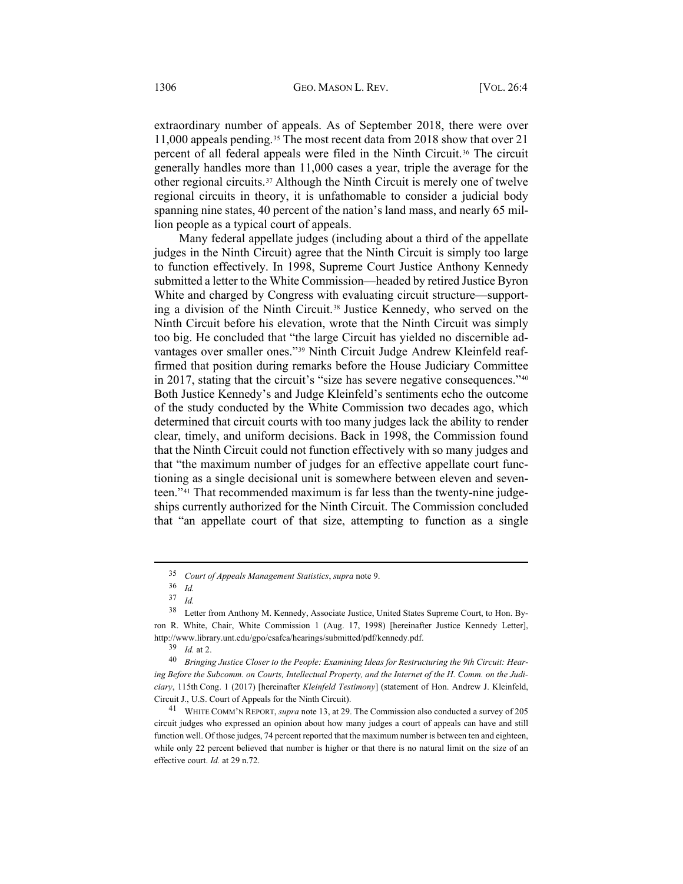extraordinary number of appeals. As of September 2018, there were over 11,000 appeals pending.[35](#page-7-0) The most recent data from 2018 show that over 21 percent of all federal appeals were filed in the Ninth Circuit.<sup>[36](#page-7-1)</sup> The circuit generally handles more than 11,000 cases a year, triple the average for the other regional circuits.[37](#page-7-2) Although the Ninth Circuit is merely one of twelve regional circuits in theory, it is unfathomable to consider a judicial body spanning nine states, 40 percent of the nation's land mass, and nearly 65 million people as a typical court of appeals.

<span id="page-7-8"></span><span id="page-7-7"></span>Many federal appellate judges (including about a third of the appellate judges in the Ninth Circuit) agree that the Ninth Circuit is simply too large to function effectively. In 1998, Supreme Court Justice Anthony Kennedy submitted a letter to the White Commission—headed by retired Justice Byron White and charged by Congress with evaluating circuit structure—supporting a division of the Ninth Circuit.[38](#page-7-3) Justice Kennedy, who served on the Ninth Circuit before his elevation, wrote that the Ninth Circuit was simply too big. He concluded that "the large Circuit has yielded no discernible advantages over smaller ones."[39](#page-7-4) Ninth Circuit Judge Andrew Kleinfeld reaffirmed that position during remarks before the House Judiciary Committee in 2017, stating that the circuit's "size has severe negative consequences."[40](#page-7-5) Both Justice Kennedy's and Judge Kleinfeld's sentiments echo the outcome of the study conducted by the White Commission two decades ago, which determined that circuit courts with too many judges lack the ability to render clear, timely, and uniform decisions. Back in 1998, the Commission found that the Ninth Circuit could not function effectively with so many judges and that "the maximum number of judges for an effective appellate court functioning as a single decisional unit is somewhere between eleven and seventeen."[41](#page-7-6) That recommended maximum is far less than the twenty-nine judgeships currently authorized for the Ninth Circuit. The Commission concluded that "an appellate court of that size, attempting to function as a single

<sup>35</sup> *Court of Appeals Management Statistics*, *supra* note [9.](#page-1-5)

<sup>36</sup> *Id.*

<sup>37</sup> *Id.*

<span id="page-7-3"></span><span id="page-7-2"></span><span id="page-7-1"></span><span id="page-7-0"></span><sup>38</sup> Letter from Anthony M. Kennedy, Associate Justice, United States Supreme Court, to Hon. Byron R. White, Chair, White Commission 1 (Aug. 17, 1998) [hereinafter Justice Kennedy Letter], [http://www.library.unt.edu/gpo/csafca/hearings/submitted/pdf/kennedy.pdf.](http://www.library.unt.edu/gpo/csafca/hearings/submitted/pdf/kennedy.pdf)

<sup>39</sup> *Id.* at 2.

<span id="page-7-5"></span><span id="page-7-4"></span><sup>40</sup> *Bringing Justice Closer to the People: Examining Ideas for Restructuring the 9th Circuit: Hearing Before the Subcomm. on Courts, Intellectual Property, and the Internet of the H. Comm. on the Judiciary*, 115th Cong. 1 (2017) [hereinafter *Kleinfeld Testimony*] (statement of Hon. Andrew J. Kleinfeld, Circuit J., U.S. Court of Appeals for the Ninth Circuit).

<span id="page-7-6"></span><sup>41</sup> WHITE COMM'N REPORT, *supra* note [13,](#page-3-0) at 29. The Commission also conducted a survey of 205 circuit judges who expressed an opinion about how many judges a court of appeals can have and still function well. Of those judges, 74 percent reported that the maximum number is between ten and eighteen, while only 22 percent believed that number is higher or that there is no natural limit on the size of an effective court. *Id.* at 29 n.72.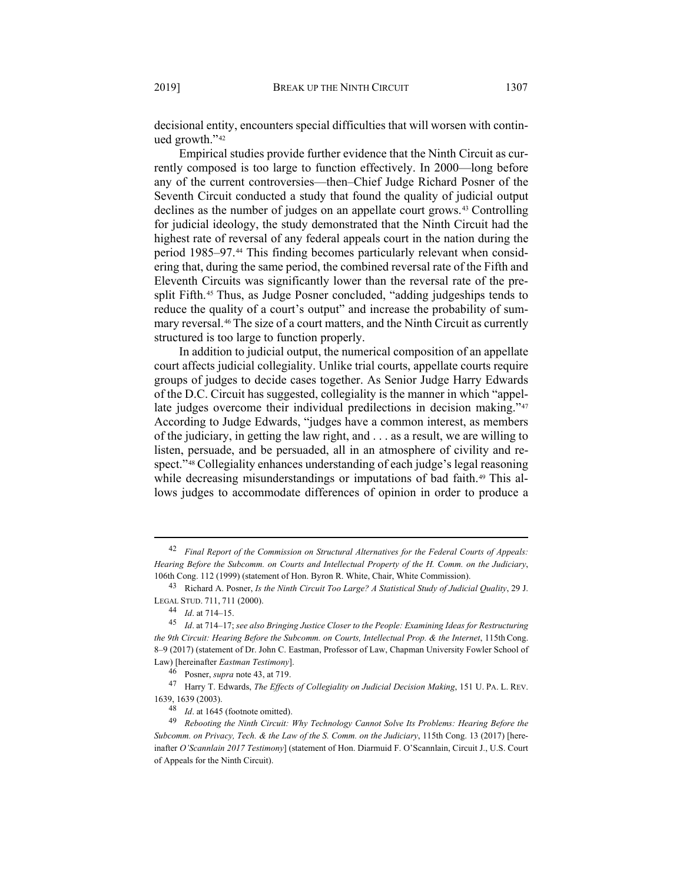decisional entity, encounters special difficulties that will worsen with continued growth."[42](#page-8-1)

<span id="page-8-0"></span>Empirical studies provide further evidence that the Ninth Circuit as currently composed is too large to function effectively. In 2000—long before any of the current controversies—then–Chief Judge Richard Posner of the Seventh Circuit conducted a study that found the quality of judicial output declines as the number of judges on an appellate court grows.[43](#page-8-2) Controlling for judicial ideology, the study demonstrated that the Ninth Circuit had the highest rate of reversal of any federal appeals court in the nation during the period 1985–97.[44](#page-8-3) This finding becomes particularly relevant when considering that, during the same period, the combined reversal rate of the Fifth and Eleventh Circuits was significantly lower than the reversal rate of the presplit Fifth.[45](#page-8-4) Thus, as Judge Posner concluded, "adding judgeships tends to reduce the quality of a court's output" and increase the probability of summary reversal.[46](#page-8-5) The size of a court matters, and the Ninth Circuit as currently structured is too large to function properly.

<span id="page-8-10"></span>In addition to judicial output, the numerical composition of an appellate court affects judicial collegiality. Unlike trial courts, appellate courts require groups of judges to decide cases together. As Senior Judge Harry Edwards of the D.C. Circuit has suggested, collegiality is the manner in which "appel-late judges overcome their individual predilections in decision making."[47](#page-8-6) According to Judge Edwards, "judges have a common interest, as members of the judiciary, in getting the law right, and . . . as a result, we are willing to listen, persuade, and be persuaded, all in an atmosphere of civility and respect."[48](#page-8-7) Collegiality enhances understanding of each judge's legal reasoning while decreasing misunderstandings or imputations of bad faith.<sup>[49](#page-8-8)</sup> This allows judges to accommodate differences of opinion in order to produce a

<span id="page-8-9"></span><span id="page-8-1"></span><sup>42</sup> *Final Report of the Commission on Structural Alternatives for the Federal Courts of Appeals: Hearing Before the Subcomm. on Courts and Intellectual Property of the H. Comm. on the Judiciary*, 106th Cong. 112 (1999) (statement of Hon. Byron R. White, Chair, White Commission).

<span id="page-8-2"></span><sup>43</sup> Richard A. Posner, *Is the Ninth Circuit Too Large? A Statistical Study of Judicial Quality*, 29 J. LEGAL STUD. 711, 711 (2000).

<sup>44</sup> *Id*. at 714–15.

<span id="page-8-4"></span><span id="page-8-3"></span><sup>45</sup> *Id*. at 714–17; *see also Bringing Justice Closer to the People: Examining Ideas for Restructuring the 9th Circuit: Hearing Before the Subcomm. on Courts, Intellectual Prop. & the Internet*, 115th Cong. 8–9 (2017) (statement of Dr. John C. Eastman, Professor of Law, Chapman University Fowler School of Law) [hereinafter *Eastman Testimony*].

<sup>46</sup> Posner, *supra* not[e 43,](#page-8-0) at 719.

<span id="page-8-6"></span><span id="page-8-5"></span><sup>47</sup> Harry T. Edwards, *The Effects of Collegiality on Judicial Decision Making*, 151 U. PA. L. REV. 1639, 1639 (2003).

<sup>48</sup> *Id*. at 1645 (footnote omitted).

<span id="page-8-8"></span><span id="page-8-7"></span><sup>49</sup> *Rebooting the Ninth Circuit: Why Technology Cannot Solve Its Problems: Hearing Before the Subcomm. on Privacy, Tech. & the Law of the S. Comm. on the Judiciary*, 115th Cong. 13 (2017) [hereinafter *O'Scannlain 2017 Testimony*] (statement of Hon. Diarmuid F. O'Scannlain, Circuit J., U.S. Court of Appeals for the Ninth Circuit).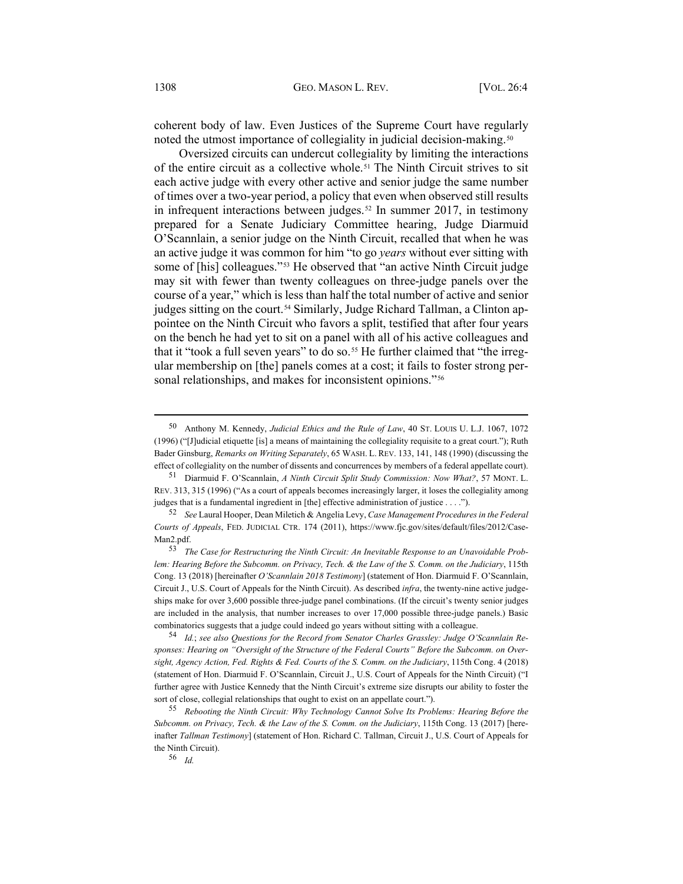coherent body of law. Even Justices of the Supreme Court have regularly noted the utmost importance of collegiality in judicial decision-making.<sup>[50](#page-9-0)</sup>

<span id="page-9-8"></span>Oversized circuits can undercut collegiality by limiting the interactions of the entire circuit as a collective whole.[51](#page-9-1) The Ninth Circuit strives to sit each active judge with every other active and senior judge the same number of times over a two-year period, a policy that even when observed still results in infrequent interactions between judges.<sup>[52](#page-9-2)</sup> In summer 2017, in testimony prepared for a Senate Judiciary Committee hearing, Judge Diarmuid O'Scannlain, a senior judge on the Ninth Circuit, recalled that when he was an active judge it was common for him "to go *years* without ever sitting with some of [his] colleagues."[53](#page-9-3) He observed that "an active Ninth Circuit judge may sit with fewer than twenty colleagues on three-judge panels over the course of a year," which is less than half the total number of active and senior judges sitting on the court.<sup>[54](#page-9-4)</sup> Similarly, Judge Richard Tallman, a Clinton appointee on the Ninth Circuit who favors a split, testified that after four years on the bench he had yet to sit on a panel with all of his active colleagues and that it "took a full seven years" to do so.<sup>[55](#page-9-5)</sup> He further claimed that "the irregular membership on [the] panels comes at a cost; it fails to foster strong per-sonal relationships, and makes for inconsistent opinions."<sup>[56](#page-9-6)</sup>

<sup>56</sup> *Id.* 

<span id="page-9-7"></span><span id="page-9-0"></span><sup>50</sup> Anthony M. Kennedy, *Judicial Ethics and the Rule of Law*, 40 ST. LOUIS U. L.J. 1067, 1072 (1996) ("[J]udicial etiquette [is] a means of maintaining the collegiality requisite to a great court."); Ruth Bader Ginsburg, *Remarks on Writing Separately*, 65 WASH. L. REV. 133, 141, 148 (1990) (discussing the effect of collegiality on the number of dissents and concurrences by members of a federal appellate court).

<span id="page-9-1"></span><sup>51</sup> Diarmuid F. O'Scannlain, *A Ninth Circuit Split Study Commission: Now What?*, 57 MONT. L. REV. 313, 315 (1996) ("As a court of appeals becomes increasingly larger, it loses the collegiality among judges that is a fundamental ingredient in [the] effective administration of justice . . . .").

<span id="page-9-2"></span><sup>52</sup> *See* Laural Hooper, Dean Miletich & Angelia Levy, *Case Management Procedures in the Federal Courts of Appeals*, FED. JUDICIAL CTR. 174 (2011), [https://www.fjc.gov/sites/default/files/2012/Case-](https://www.fjc.gov/sites/default/files/2012/CaseMan2.pdf)[Man2.pdf.](https://www.fjc.gov/sites/default/files/2012/CaseMan2.pdf)

<span id="page-9-3"></span><sup>53</sup> *The Case for Restructuring the Ninth Circuit: An Inevitable Response to an Unavoidable Problem: Hearing Before the Subcomm. on Privacy, Tech. & the Law of the S. Comm. on the Judiciary*, 115th Cong. 13 (2018) [hereinafter *O'Scannlain 2018 Testimony*] (statement of Hon. Diarmuid F. O'Scannlain, Circuit J., U.S. Court of Appeals for the Ninth Circuit). As described *infra*, the twenty-nine active judgeships make for over 3,600 possible three-judge panel combinations. (If the circuit's twenty senior judges are included in the analysis, that number increases to over 17,000 possible three-judge panels.) Basic combinatorics suggests that a judge could indeed go years without sitting with a colleague.

<span id="page-9-4"></span><sup>54</sup> *Id.*; *see also Questions for the Record from Senator Charles Grassley: Judge O'Scannlain Responses: Hearing on "Oversight of the Structure of the Federal Courts" Before the Subcomm. on Oversight, Agency Action, Fed. Rights & Fed. Courts of the S. Comm. on the Judiciary*, 115th Cong. 4 (2018) (statement of Hon. Diarmuid F. O'Scannlain, Circuit J., U.S. Court of Appeals for the Ninth Circuit) ("I further agree with Justice Kennedy that the Ninth Circuit's extreme size disrupts our ability to foster the sort of close, collegial relationships that ought to exist on an appellate court.").

<span id="page-9-6"></span><span id="page-9-5"></span><sup>55</sup> *Rebooting the Ninth Circuit: Why Technology Cannot Solve Its Problems: Hearing Before the Subcomm. on Privacy, Tech. & the Law of the S. Comm. on the Judiciary*, 115th Cong. 13 (2017) [hereinafter *Tallman Testimony*] (statement of Hon. Richard C. Tallman, Circuit J., U.S. Court of Appeals for the Ninth Circuit).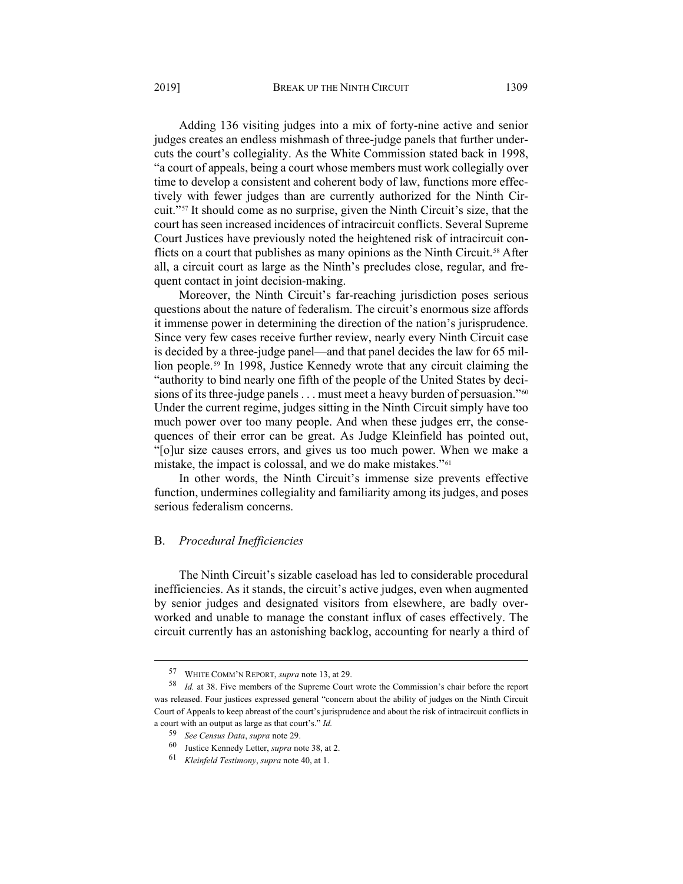Adding 136 visiting judges into a mix of forty-nine active and senior judges creates an endless mishmash of three-judge panels that further undercuts the court's collegiality. As the White Commission stated back in 1998, "a court of appeals, being a court whose members must work collegially over time to develop a consistent and coherent body of law, functions more effectively with fewer judges than are currently authorized for the Ninth Circuit."[57](#page-10-0) It should come as no surprise, given the Ninth Circuit's size, that the court has seen increased incidences of intracircuit conflicts. Several Supreme Court Justices have previously noted the heightened risk of intracircuit con-flicts on a court that publishes as many opinions as the Ninth Circuit.<sup>[58](#page-10-1)</sup> After all, a circuit court as large as the Ninth's precludes close, regular, and frequent contact in joint decision-making.

Moreover, the Ninth Circuit's far-reaching jurisdiction poses serious questions about the nature of federalism. The circuit's enormous size affords it immense power in determining the direction of the nation's jurisprudence. Since very few cases receive further review, nearly every Ninth Circuit case is decided by a three-judge panel—and that panel decides the law for 65 million people.[59](#page-10-2) In 1998, Justice Kennedy wrote that any circuit claiming the "authority to bind nearly one fifth of the people of the United States by deci-sions of its three-judge panels . . . must meet a heavy burden of persuasion."<sup>[60](#page-10-3)</sup> Under the current regime, judges sitting in the Ninth Circuit simply have too much power over too many people. And when these judges err, the consequences of their error can be great. As Judge Kleinfield has pointed out, "[o]ur size causes errors, and gives us too much power. When we make a mistake, the impact is colossal, and we do make mistakes."[61](#page-10-4)

In other words, the Ninth Circuit's immense size prevents effective function, undermines collegiality and familiarity among its judges, and poses serious federalism concerns.

## B. *Procedural Inefficiencies*

The Ninth Circuit's sizable caseload has led to considerable procedural inefficiencies. As it stands, the circuit's active judges, even when augmented by senior judges and designated visitors from elsewhere, are badly overworked and unable to manage the constant influx of cases effectively. The circuit currently has an astonishing backlog, accounting for nearly a third of

<sup>57</sup> WHITE COMM'N REPORT, *supra* not[e 13,](#page-3-0) at 29.

<span id="page-10-3"></span><span id="page-10-2"></span><span id="page-10-1"></span><span id="page-10-0"></span><sup>58</sup> *Id.* at 38. Five members of the Supreme Court wrote the Commission's chair before the report was released. Four justices expressed general "concern about the ability of judges on the Ninth Circuit Court of Appeals to keep abreast of the court's jurisprudence and about the risk of intracircuit conflicts in a court with an output as large as that court's." *Id.*

<sup>59</sup> *See Census Data*, *supra* note [29.](#page-6-6) 

<sup>60</sup> Justice Kennedy Letter, *supra* not[e 38,](#page-7-7) at 2.

<span id="page-10-4"></span><sup>61</sup> *Kleinfeld Testimony*, *supra* note [40,](#page-7-8) at 1.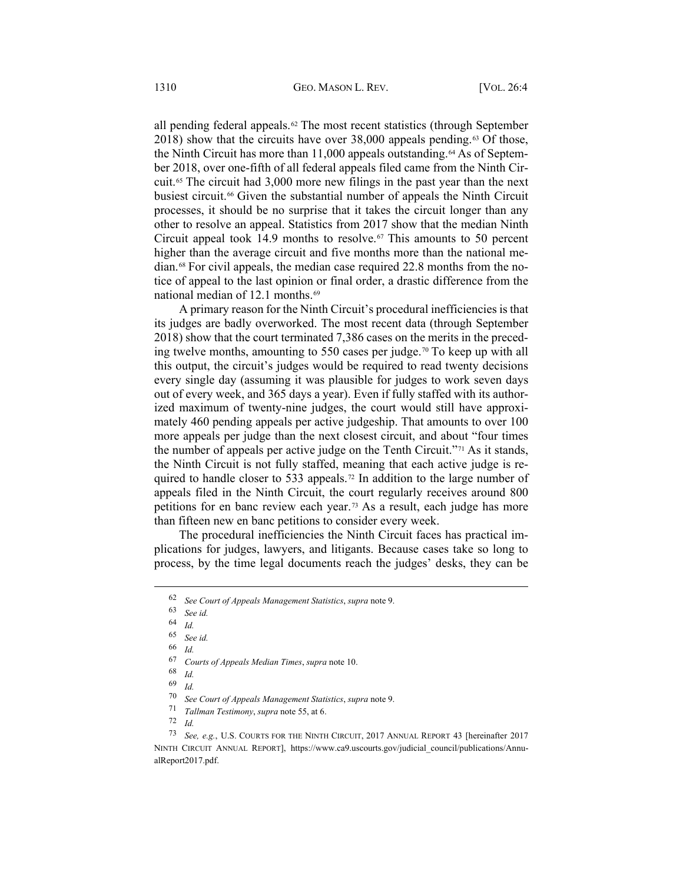all pending federal appeals.<sup>[62](#page-11-0)</sup> The most recent statistics (through September 2018) show that the circuits have over  $38,000$  appeals pending.<sup>[63](#page-11-1)</sup> Of those, the Ninth Circuit has more than 11,000 appeals outstanding.<sup>[64](#page-11-2)</sup> As of September 2018, over one-fifth of all federal appeals filed came from the Ninth Circuit.[65](#page-11-3) The circuit had 3,000 more new filings in the past year than the next busiest circuit.<sup>[66](#page-11-4)</sup> Given the substantial number of appeals the Ninth Circuit processes, it should be no surprise that it takes the circuit longer than any other to resolve an appeal. Statistics from 2017 show that the median Ninth Circuit appeal took 14.9 months to resolve.<sup> $67$ </sup> This amounts to 50 percent higher than the average circuit and five months more than the national median.[68](#page-11-6) For civil appeals, the median case required 22.8 months from the notice of appeal to the last opinion or final order, a drastic difference from the national median of 12.1 months.[69](#page-11-7)

A primary reason for the Ninth Circuit's procedural inefficiencies is that its judges are badly overworked. The most recent data (through September 2018) show that the court terminated 7,386 cases on the merits in the preceding twelve months, amounting to 550 cases per judge.[70](#page-11-8) To keep up with all this output, the circuit's judges would be required to read twenty decisions every single day (assuming it was plausible for judges to work seven days out of every week, and 365 days a year). Even if fully staffed with its authorized maximum of twenty-nine judges, the court would still have approximately 460 pending appeals per active judgeship. That amounts to over 100 more appeals per judge than the next closest circuit, and about "four times the number of appeals per active judge on the Tenth Circuit."[71](#page-11-9) As it stands, the Ninth Circuit is not fully staffed, meaning that each active judge is re-quired to handle closer to 533 appeals.<sup>[72](#page-11-10)</sup> In addition to the large number of appeals filed in the Ninth Circuit, the court regularly receives around 800 petitions for en banc review each year.[73](#page-11-11) As a result, each judge has more than fifteen new en banc petitions to consider every week.

<span id="page-11-12"></span>The procedural inefficiencies the Ninth Circuit faces has practical implications for judges, lawyers, and litigants. Because cases take so long to process, by the time legal documents reach the judges' desks, they can be

<span id="page-11-0"></span><sup>62</sup> *See Court of Appeals Management Statistics*, *supra* not[e 9.](#page-1-5) 

<span id="page-11-2"></span><span id="page-11-1"></span><sup>63</sup> *See id.*

 $\frac{64}{65}$  *Id.* 

<sup>65</sup> *See id.* 

<span id="page-11-5"></span><span id="page-11-4"></span><span id="page-11-3"></span><sup>66</sup> *Id.* 

<sup>67</sup> *Courts of Appeals Median Times*, *supra* note [10.](#page-1-6) 

 $\frac{68}{69}$  *Id.* 

<sup>69</sup> *Id.*

<sup>70</sup> *See Court of Appeals Management Statistics*, *supra* not[e 9.](#page-1-5) 

<sup>71</sup> *Tallman Testimony*, *supra* not[e 55,](#page-9-7) at 6.

<sup>72</sup> *Id.*

<span id="page-11-11"></span><span id="page-11-10"></span><span id="page-11-9"></span><span id="page-11-8"></span><span id="page-11-7"></span><span id="page-11-6"></span><sup>73</sup> *See, e.g.*, U.S. COURTS FOR THE NINTH CIRCUIT, 2017 ANNUAL REPORT 43 [hereinafter 2017 NINTH CIRCUIT ANNUAL REPORT], [https://www.ca9.uscourts.gov/judicial\\_council/publications/Annu](https://www.ca9.uscourts.gov/judicial_council/publications/AnnualReport2017.pdf)[alReport2017.pdf.](https://www.ca9.uscourts.gov/judicial_council/publications/AnnualReport2017.pdf)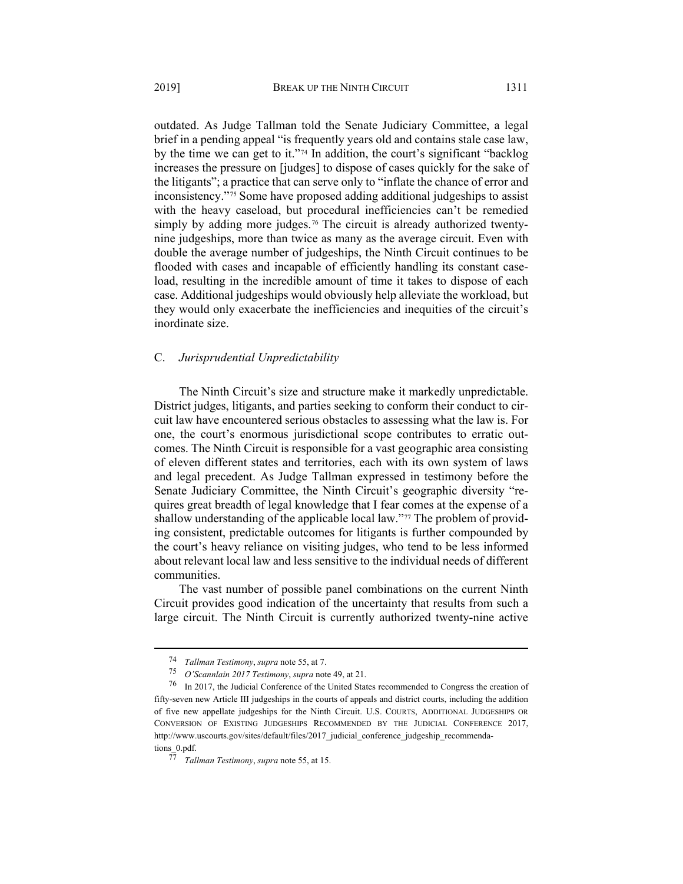outdated. As Judge Tallman told the Senate Judiciary Committee, a legal brief in a pending appeal "is frequently years old and contains stale case law, by the time we can get to it."[74](#page-12-0) In addition, the court's significant "backlog increases the pressure on [judges] to dispose of cases quickly for the sake of the litigants"; a practice that can serve only to "inflate the chance of error and inconsistency."[75](#page-12-1) Some have proposed adding additional judgeships to assist with the heavy caseload, but procedural inefficiencies can't be remedied simply by adding more judges.<sup>[76](#page-12-2)</sup> The circuit is already authorized twentynine judgeships, more than twice as many as the average circuit. Even with double the average number of judgeships, the Ninth Circuit continues to be flooded with cases and incapable of efficiently handling its constant caseload, resulting in the incredible amount of time it takes to dispose of each case. Additional judgeships would obviously help alleviate the workload, but they would only exacerbate the inefficiencies and inequities of the circuit's inordinate size.

### C. *Jurisprudential Unpredictability*

The Ninth Circuit's size and structure make it markedly unpredictable. District judges, litigants, and parties seeking to conform their conduct to circuit law have encountered serious obstacles to assessing what the law is. For one, the court's enormous jurisdictional scope contributes to erratic outcomes. The Ninth Circuit is responsible for a vast geographic area consisting of eleven different states and territories, each with its own system of laws and legal precedent. As Judge Tallman expressed in testimony before the Senate Judiciary Committee, the Ninth Circuit's geographic diversity "requires great breadth of legal knowledge that I fear comes at the expense of a shallow understanding of the applicable local law."[77](#page-12-3) The problem of providing consistent, predictable outcomes for litigants is further compounded by the court's heavy reliance on visiting judges, who tend to be less informed about relevant local law and less sensitive to the individual needs of different communities.

The vast number of possible panel combinations on the current Ninth Circuit provides good indication of the uncertainty that results from such a large circuit. The Ninth Circuit is currently authorized twenty-nine active

<sup>74</sup> *Tallman Testimony*, *supra* not[e 55,](#page-9-7) at 7.

<sup>75</sup> *O'Scannlain 2017 Testimony*, *supra* note [49,](#page-8-9) at 21.

<span id="page-12-2"></span><span id="page-12-1"></span><span id="page-12-0"></span><sup>76</sup> In 2017, the Judicial Conference of the United States recommended to Congress the creation of fifty-seven new Article III judgeships in the courts of appeals and district courts, including the addition of five new appellate judgeships for the Ninth Circuit. U.S. COURTS, ADDITIONAL JUDGESHIPS OR CONVERSION OF EXISTING JUDGESHIPS RECOMMENDED BY THE JUDICIAL CONFERENCE 2017, [http://www.uscourts.gov/sites/default/files/2017\\_judicial\\_conference\\_judgeship\\_recommenda](http://www.uscourts.gov/sites/default/files/2017_judicial_conference_judgeship_recommendations_0.pdf)[tions\\_0.pdf.](http://www.uscourts.gov/sites/default/files/2017_judicial_conference_judgeship_recommendations_0.pdf)

<span id="page-12-3"></span><sup>77</sup> *Tallman Testimony*, *supra* not[e 55,](#page-9-7) at 15.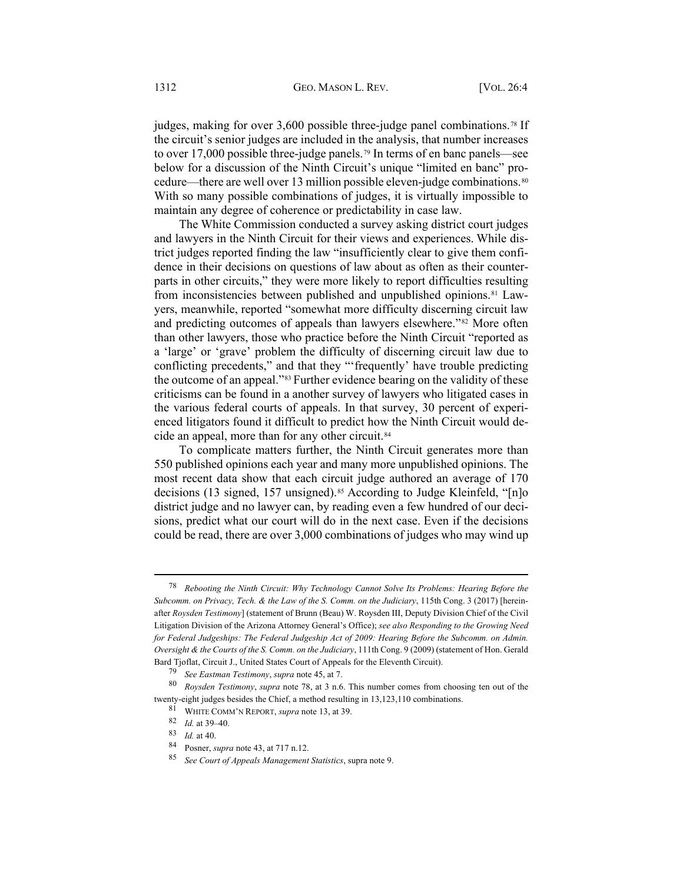<span id="page-13-0"></span>judges, making for over  $3,600$  possible three-judge panel combinations.<sup>[78](#page-13-1)</sup> If the circuit's senior judges are included in the analysis, that number increases to over 17,000 possible three-judge panels.[79](#page-13-2) In terms of en banc panels—see below for a discussion of the Ninth Circuit's unique "limited en banc" pro-cedure—there are well over 13 million possible eleven-judge combinations.<sup>[80](#page-13-3)</sup> With so many possible combinations of judges, it is virtually impossible to maintain any degree of coherence or predictability in case law.

The White Commission conducted a survey asking district court judges and lawyers in the Ninth Circuit for their views and experiences. While district judges reported finding the law "insufficiently clear to give them confidence in their decisions on questions of law about as often as their counterparts in other circuits," they were more likely to report difficulties resulting from inconsistencies between published and unpublished opinions.[81](#page-13-4) Lawyers, meanwhile, reported "somewhat more difficulty discerning circuit law and predicting outcomes of appeals than lawyers elsewhere."[82](#page-13-5) More often than other lawyers, those who practice before the Ninth Circuit "reported as a 'large' or 'grave' problem the difficulty of discerning circuit law due to conflicting precedents," and that they "'frequently' have trouble predicting the outcome of an appeal."[83](#page-13-6) Further evidence bearing on the validity of these criticisms can be found in a another survey of lawyers who litigated cases in the various federal courts of appeals. In that survey, 30 percent of experienced litigators found it difficult to predict how the Ninth Circuit would de-cide an appeal, more than for any other circuit.<sup>[84](#page-13-7)</sup>

To complicate matters further, the Ninth Circuit generates more than 550 published opinions each year and many more unpublished opinions. The most recent data show that each circuit judge authored an average of 170 decisions (13 signed, 157 unsigned).<sup>[85](#page-13-8)</sup> According to Judge Kleinfeld, "[n]o district judge and no lawyer can, by reading even a few hundred of our decisions, predict what our court will do in the next case. Even if the decisions could be read, there are over 3,000 combinations of judges who may wind up

<span id="page-13-1"></span><sup>78</sup> *Rebooting the Ninth Circuit: Why Technology Cannot Solve Its Problems: Hearing Before the Subcomm. on Privacy, Tech. & the Law of the S. Comm. on the Judiciary*, 115th Cong. 3 (2017) [hereinafter *Roysden Testimony*] (statement of Brunn (Beau) W. Roysden III, Deputy Division Chief of the Civil Litigation Division of the Arizona Attorney General's Office); *see also Responding to the Growing Need for Federal Judgeships: The Federal Judgeship Act of 2009: Hearing Before the Subcomm. on Admin. Oversight & the Courts of the S. Comm. on the Judiciary*, 111th Cong. 9 (2009) (statement of Hon. Gerald Bard Tjoflat, Circuit J., United States Court of Appeals for the Eleventh Circuit).

<sup>79</sup> *See Eastman Testimony*, *supra* not[e 45,](#page-8-10) at 7.

<span id="page-13-7"></span><span id="page-13-6"></span><span id="page-13-5"></span><span id="page-13-4"></span><span id="page-13-3"></span><span id="page-13-2"></span><sup>80</sup> *Roysden Testimony*, *supra* note [78,](#page-13-0) at 3 n.6. This number comes from choosing ten out of the twenty-eight judges besides the Chief, a method resulting in 13,123,110 combinations.

<sup>81</sup> WHITE COMM'N REPORT, *supra* not[e 13,](#page-3-0) at 39.

<sup>82</sup> *Id.* at 39–40.

<sup>83</sup> *Id.* at 40.

<sup>84</sup> Posner, *supra* not[e 43,](#page-8-0) at 717 n.12.

<span id="page-13-8"></span><sup>85</sup> *See Court of Appeals Management Statistics*, supra not[e 9.](#page-1-5)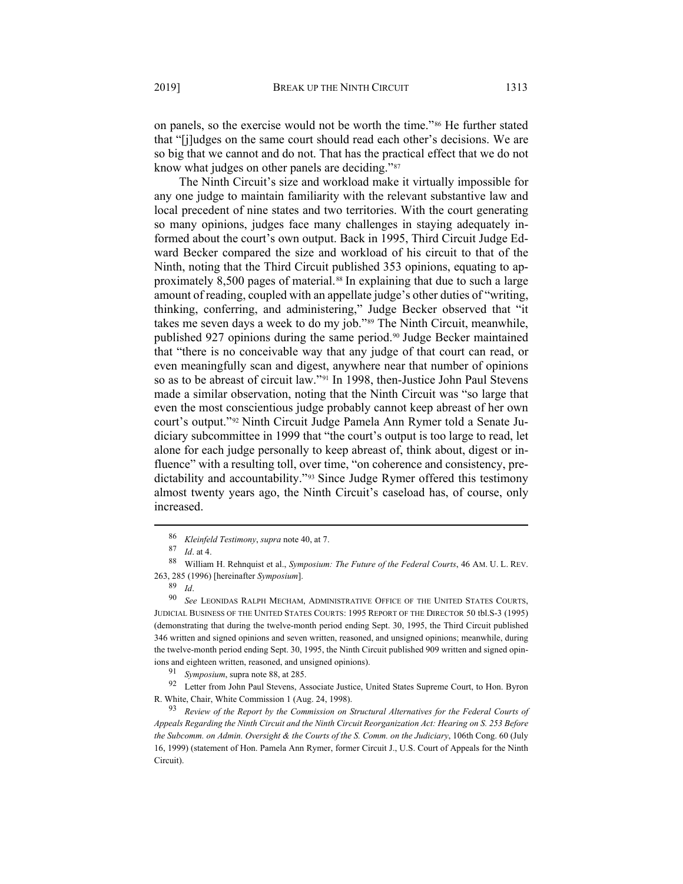on panels, so the exercise would not be worth the time."[86](#page-14-1) He further stated that "[j]udges on the same court should read each other's decisions. We are so big that we cannot and do not. That has the practical effect that we do not know what judges on other panels are deciding."[87](#page-14-2)

<span id="page-14-0"></span>The Ninth Circuit's size and workload make it virtually impossible for any one judge to maintain familiarity with the relevant substantive law and local precedent of nine states and two territories. With the court generating so many opinions, judges face many challenges in staying adequately informed about the court's own output. Back in 1995, Third Circuit Judge Edward Becker compared the size and workload of his circuit to that of the Ninth, noting that the Third Circuit published 353 opinions, equating to ap-proximately 8,500 pages of material.<sup>[88](#page-14-3)</sup> In explaining that due to such a large amount of reading, coupled with an appellate judge's other duties of "writing, thinking, conferring, and administering," Judge Becker observed that "it takes me seven days a week to do my job."[89](#page-14-4) The Ninth Circuit, meanwhile, published 927 opinions during the same period.<sup>[90](#page-14-5)</sup> Judge Becker maintained that "there is no conceivable way that any judge of that court can read, or even meaningfully scan and digest, anywhere near that number of opinions so as to be abreast of circuit law."[91](#page-14-6) In 1998, then-Justice John Paul Stevens made a similar observation, noting that the Ninth Circuit was "so large that even the most conscientious judge probably cannot keep abreast of her own court's output."[92](#page-14-7) Ninth Circuit Judge Pamela Ann Rymer told a Senate Judiciary subcommittee in 1999 that "the court's output is too large to read, let alone for each judge personally to keep abreast of, think about, digest or influence" with a resulting toll, over time, "on coherence and consistency, predictability and accountability."[93](#page-14-8) Since Judge Rymer offered this testimony almost twenty years ago, the Ninth Circuit's caseload has, of course, only increased.

<sup>86</sup> *Kleinfeld Testimony*, *supra* note [40,](#page-7-8) at 7.

<sup>87</sup> *Id*. at 4.

<span id="page-14-3"></span><span id="page-14-2"></span><span id="page-14-1"></span><sup>88</sup> William H. Rehnquist et al., *Symposium: The Future of the Federal Courts*, 46 AM. U. L. REV. 263, 285 (1996) [hereinafter *Symposium*].

 $\frac{89}{90}$  *Id.* 

<span id="page-14-5"></span><span id="page-14-4"></span>See LEONIDAS RALPH MECHAM, ADMINISTRATIVE OFFICE OF THE UNITED STATES COURTS, JUDICIAL BUSINESS OF THE UNITED STATES COURTS: 1995 REPORT OF THE DIRECTOR 50 tbl.S-3 (1995) (demonstrating that during the twelve-month period ending Sept. 30, 1995, the Third Circuit published 346 written and signed opinions and seven written, reasoned, and unsigned opinions; meanwhile, during the twelve-month period ending Sept. 30, 1995, the Ninth Circuit published 909 written and signed opinions and eighteen written, reasoned, and unsigned opinions).

<sup>91</sup> *Symposium*, supra not[e 88,](#page-14-0) at 285.

<span id="page-14-7"></span><span id="page-14-6"></span><sup>92</sup> Letter from John Paul Stevens, Associate Justice, United States Supreme Court, to Hon. Byron R. White, Chair, White Commission 1 (Aug. 24, 1998).

<span id="page-14-8"></span><sup>93</sup> *Review of the Report by the Commission on Structural Alternatives for the Federal Courts of Appeals Regarding the Ninth Circuit and the Ninth Circuit Reorganization Act: Hearing on S. 253 Before the Subcomm. on Admin. Oversight & the Courts of the S. Comm. on the Judiciary*, 106th Cong. 60 (July 16, 1999) (statement of Hon. Pamela Ann Rymer, former Circuit J., U.S. Court of Appeals for the Ninth Circuit).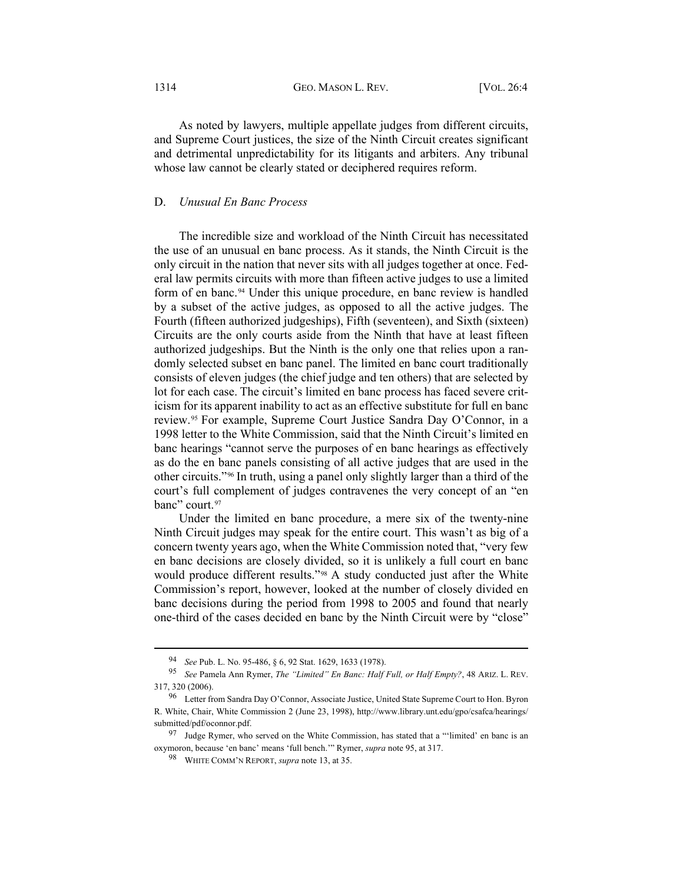#### 1314 **GEO. MASON L. REV.** [VOL. 26:4]

As noted by lawyers, multiple appellate judges from different circuits, and Supreme Court justices, the size of the Ninth Circuit creates significant and detrimental unpredictability for its litigants and arbiters. Any tribunal whose law cannot be clearly stated or deciphered requires reform.

## D. *Unusual En Banc Process*

The incredible size and workload of the Ninth Circuit has necessitated the use of an unusual en banc process. As it stands, the Ninth Circuit is the only circuit in the nation that never sits with all judges together at once. Federal law permits circuits with more than fifteen active judges to use a limited form of en banc.[94](#page-15-1) Under this unique procedure, en banc review is handled by a subset of the active judges, as opposed to all the active judges. The Fourth (fifteen authorized judgeships), Fifth (seventeen), and Sixth (sixteen) Circuits are the only courts aside from the Ninth that have at least fifteen authorized judgeships. But the Ninth is the only one that relies upon a randomly selected subset en banc panel. The limited en banc court traditionally consists of eleven judges (the chief judge and ten others) that are selected by lot for each case. The circuit's limited en banc process has faced severe criticism for its apparent inability to act as an effective substitute for full en banc review.[95](#page-15-2) For example, Supreme Court Justice Sandra Day O'Connor, in a 1998 letter to the White Commission, said that the Ninth Circuit's limited en banc hearings "cannot serve the purposes of en banc hearings as effectively as do the en banc panels consisting of all active judges that are used in the other circuits."[96](#page-15-3) In truth, using a panel only slightly larger than a third of the court's full complement of judges contravenes the very concept of an "en banc" court.<sup>[97](#page-15-4)</sup>

<span id="page-15-0"></span>Under the limited en banc procedure, a mere six of the twenty-nine Ninth Circuit judges may speak for the entire court. This wasn't as big of a concern twenty years ago, when the White Commission noted that, "very few en banc decisions are closely divided, so it is unlikely a full court en banc would produce different results."[98](#page-15-5) A study conducted just after the White Commission's report, however, looked at the number of closely divided en banc decisions during the period from 1998 to 2005 and found that nearly one-third of the cases decided en banc by the Ninth Circuit were by "close"

<sup>94</sup> *See* Pub. L. No. 95-486, § 6, 92 Stat. 1629, 1633 (1978).

<span id="page-15-2"></span><span id="page-15-1"></span><sup>95</sup> *See* Pamela Ann Rymer, *The "Limited" En Banc: Half Full, or Half Empty?*, 48 ARIZ. L. REV. 317, 320 (2006).

<span id="page-15-3"></span><sup>96</sup> Letter from Sandra Day O'Connor, Associate Justice, United State Supreme Court to Hon. Byron R. White, Chair, White Commission 2 (June 23, 1998), [http://www.library.unt.edu/gpo/csafca/hearings/](http://www.library.unt.edu/gpo/csafca/hearings/submitted/pdf/oconnor.pdf) [submitted/pdf/oconnor.pdf.](http://www.library.unt.edu/gpo/csafca/hearings/submitted/pdf/oconnor.pdf)

<span id="page-15-5"></span><span id="page-15-4"></span><sup>97</sup> Judge Rymer, who served on the White Commission, has stated that a "'limited' en banc is an oxymoron, because 'en banc' means 'full bench.'" Rymer, *supra* not[e 95,](#page-15-0) at 317.

<sup>98</sup> WHITE COMM'N REPORT, *supra* not[e 13,](#page-3-0) at 35.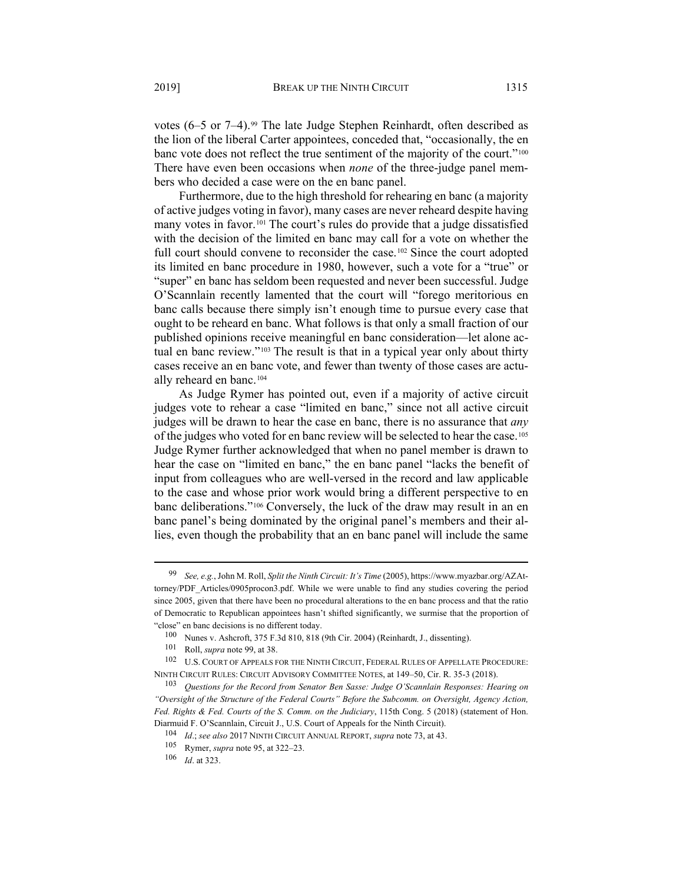<span id="page-16-0"></span>votes  $(6-5 \text{ or } 7-4)$ .<sup>[99](#page-16-1)</sup> The late Judge Stephen Reinhardt, often described as the lion of the liberal Carter appointees, conceded that, "occasionally, the en banc vote does not reflect the true sentiment of the majority of the court."<sup>[100](#page-16-2)</sup> There have even been occasions when *none* of the three-judge panel members who decided a case were on the en banc panel.

Furthermore, due to the high threshold for rehearing en banc (a majority of active judges voting in favor), many cases are never reheard despite having many votes in favor.[101](#page-16-3) The court's rules do provide that a judge dissatisfied with the decision of the limited en banc may call for a vote on whether the full court should convene to reconsider the case.<sup>[102](#page-16-4)</sup> Since the court adopted its limited en banc procedure in 1980, however, such a vote for a "true" or "super" en banc has seldom been requested and never been successful. Judge O'Scannlain recently lamented that the court will "forego meritorious en banc calls because there simply isn't enough time to pursue every case that ought to be reheard en banc. What follows is that only a small fraction of our published opinions receive meaningful en banc consideration—let alone actual en banc review."[103](#page-16-5) The result is that in a typical year only about thirty cases receive an en banc vote, and fewer than twenty of those cases are actually reheard en banc.[104](#page-16-6)

As Judge Rymer has pointed out, even if a majority of active circuit judges vote to rehear a case "limited en banc," since not all active circuit judges will be drawn to hear the case en banc, there is no assurance that *any* of the judges who voted for en banc review will be selected to hear the case.[105](#page-16-7) Judge Rymer further acknowledged that when no panel member is drawn to hear the case on "limited en banc," the en banc panel "lacks the benefit of input from colleagues who are well-versed in the record and law applicable to the case and whose prior work would bring a different perspective to en banc deliberations."[106](#page-16-8) Conversely, the luck of the draw may result in an en banc panel's being dominated by the original panel's members and their allies, even though the probability that an en banc panel will include the same

<span id="page-16-1"></span><sup>99</sup> *See, e.g.*, John M. Roll, *Split the Ninth Circuit: It's Time* (2005)[, https://www.myazbar.org/AZAt](https://www.myazbar.org/AZAttorney/PDF_Articles/0905procon3.pdf)[torney/PDF\\_Articles/0905procon3.pdf.](https://www.myazbar.org/AZAttorney/PDF_Articles/0905procon3.pdf) While we were unable to find any studies covering the period since 2005, given that there have been no procedural alterations to the en banc process and that the ratio of Democratic to Republican appointees hasn't shifted significantly, we surmise that the proportion of "close" en banc decisions is no different today.

<sup>100</sup> Nunes v. Ashcroft, 375 F.3d 810, 818 (9th Cir. 2004) (Reinhardt, J., dissenting).

<sup>101</sup> Roll, *supra* not[e 99,](#page-16-0) at 38.

<span id="page-16-4"></span><span id="page-16-3"></span><span id="page-16-2"></span><sup>102</sup> U.S. COURT OF APPEALS FOR THE NINTH CIRCUIT, FEDERAL RULES OF APPELLATE PROCEDURE: NINTH CIRCUIT RULES: CIRCUIT ADVISORY COMMITTEE NOTES, at 149–50, Cir. R. 35-3 (2018).

<span id="page-16-6"></span><span id="page-16-5"></span><sup>103</sup> *Questions for the Record from Senator Ben Sasse: Judge O'Scannlain Responses: Hearing on "Oversight of the Structure of the Federal Courts" Before the Subcomm. on Oversight, Agency Action, Fed. Rights & Fed. Courts of the S. Comm. on the Judiciary*, 115th Cong. 5 (2018) (statement of Hon. Diarmuid F. O'Scannlain, Circuit J., U.S. Court of Appeals for the Ninth Circuit).

<sup>104</sup> *Id*.; *see also* 2017 NINTH CIRCUIT ANNUAL REPORT, *supra* not[e 73,](#page-11-12) at 43.

<span id="page-16-7"></span><sup>105</sup> Rymer, *supra* not[e 95,](#page-15-0) at 322–23.

<span id="page-16-8"></span><sup>106</sup> *Id*. at 323.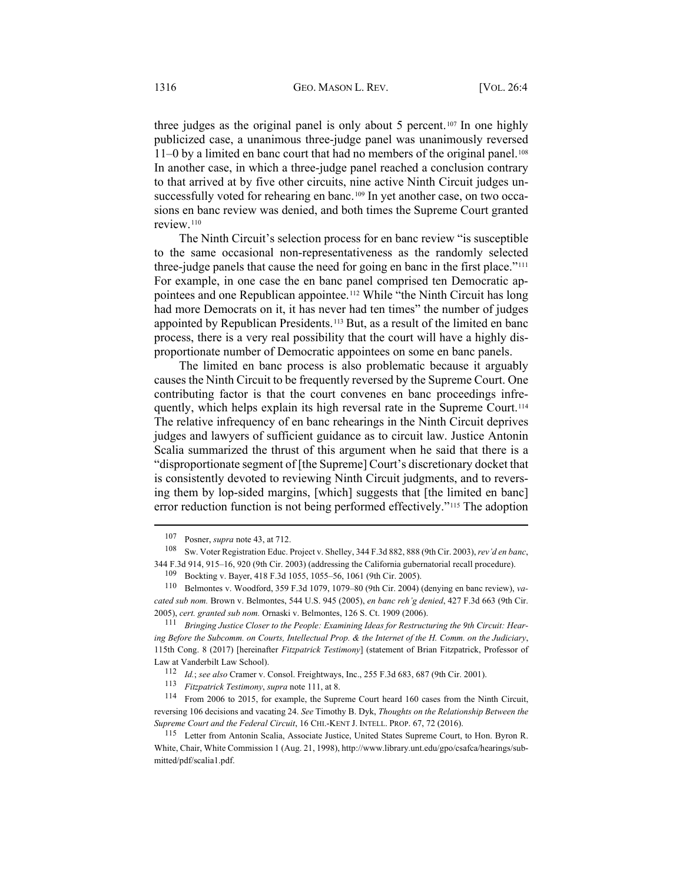three judges as the original panel is only about 5 percent.<sup>[107](#page-17-1)</sup> In one highly publicized case, a unanimous three-judge panel was unanimously reversed 11–0 by a limited en banc court that had no members of the original panel.[108](#page-17-2) In another case, in which a three-judge panel reached a conclusion contrary to that arrived at by five other circuits, nine active Ninth Circuit judges un-successfully voted for rehearing en banc.<sup>[109](#page-17-3)</sup> In yet another case, on two occasions en banc review was denied, and both times the Supreme Court granted review.[110](#page-17-4)

<span id="page-17-0"></span>The Ninth Circuit's selection process for en banc review "is susceptible to the same occasional non-representativeness as the randomly selected three-judge panels that cause the need for going en banc in the first place."<sup>[111](#page-17-5)</sup> For example, in one case the en banc panel comprised ten Democratic appointees and one Republican appointee.[112](#page-17-6) While "the Ninth Circuit has long had more Democrats on it, it has never had ten times" the number of judges appointed by Republican Presidents.[113](#page-17-7) But, as a result of the limited en banc process, there is a very real possibility that the court will have a highly disproportionate number of Democratic appointees on some en banc panels.

The limited en banc process is also problematic because it arguably causes the Ninth Circuit to be frequently reversed by the Supreme Court. One contributing factor is that the court convenes en banc proceedings infre-quently, which helps explain its high reversal rate in the Supreme Court.<sup>[114](#page-17-8)</sup> The relative infrequency of en banc rehearings in the Ninth Circuit deprives judges and lawyers of sufficient guidance as to circuit law. Justice Antonin Scalia summarized the thrust of this argument when he said that there is a "disproportionate segment of [the Supreme] Court's discretionary docket that is consistently devoted to reviewing Ninth Circuit judgments, and to reversing them by lop-sided margins, [which] suggests that [the limited en banc] error reduction function is not being performed effectively."[115](#page-17-9) The adoption

<sup>107</sup> Posner, *supra* not[e 43,](#page-8-0) at 712.

<span id="page-17-2"></span><span id="page-17-1"></span><sup>108</sup> Sw. Voter Registration Educ. Project v. Shelley, 344 F.3d 882, 888 (9th Cir. 2003), *rev'd en banc*, 344 F.3d 914, 915–16, 920 (9th Cir. 2003) (addressing the California gubernatorial recall procedure).

<sup>109</sup> Bockting v. Bayer, 418 F.3d 1055, 1055–56, 1061 (9th Cir. 2005).

<span id="page-17-4"></span><span id="page-17-3"></span><sup>110</sup> Belmontes v. Woodford, 359 F.3d 1079, 1079–80 (9th Cir. 2004) (denying en banc review), *vacated sub nom.* Brown v. Belmontes, 544 U.S. 945 (2005), *en banc reh'g denied*, 427 F.3d 663 (9th Cir. 2005), *cert. granted sub nom.* Ornaski v. Belmontes, 126 S. Ct. 1909 (2006).

<span id="page-17-5"></span><sup>111</sup> *Bringing Justice Closer to the People: Examining Ideas for Restructuring the 9th Circuit: Hearing Before the Subcomm. on Courts, Intellectual Prop. & the Internet of the H. Comm. on the Judiciary*, 115th Cong. 8 (2017) [hereinafter *Fitzpatrick Testimony*] (statement of Brian Fitzpatrick, Professor of Law at Vanderbilt Law School).

<sup>112</sup> *Id.*; *see also* Cramer v. Consol. Freightways, Inc., 255 F.3d 683, 687 (9th Cir. 2001).

<sup>113</sup> *Fitzpatrick Testimony*, *supra* not[e 111,](#page-17-0) at 8.

<span id="page-17-8"></span><span id="page-17-7"></span><span id="page-17-6"></span><sup>114</sup> From 2006 to 2015, for example, the Supreme Court heard 160 cases from the Ninth Circuit, reversing 106 decisions and vacating 24. *See* Timothy B. Dyk, *Thoughts on the Relationship Between the Supreme Court and the Federal Circuit*, 16 CHI.-KENT J. INTELL. PROP. 67, 72 (2016).

<span id="page-17-9"></span><sup>115</sup> Letter from Antonin Scalia, Associate Justice, United States Supreme Court, to Hon. Byron R. White, Chair, White Commission 1 (Aug. 21, 1998)[, http://www.library.unt.edu/gpo/csafca/hearings/sub](http://www.library.unt.edu/gpo/csafca/hearings/submitted/pdf/scalia1.pdf)[mitted/pdf/scalia1.pdf.](http://www.library.unt.edu/gpo/csafca/hearings/submitted/pdf/scalia1.pdf)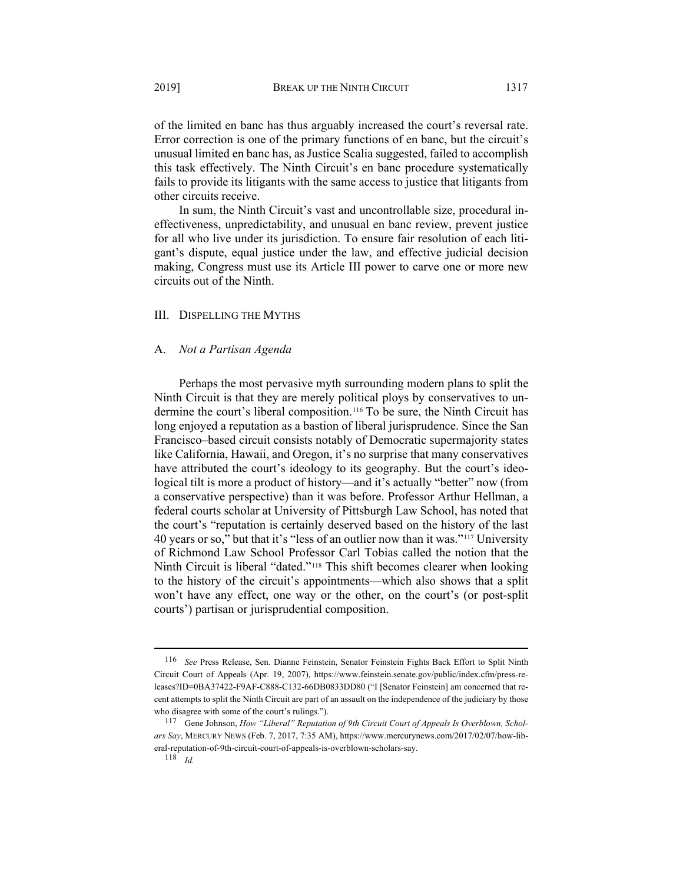of the limited en banc has thus arguably increased the court's reversal rate. Error correction is one of the primary functions of en banc, but the circuit's unusual limited en banc has, as Justice Scalia suggested, failed to accomplish this task effectively. The Ninth Circuit's en banc procedure systematically fails to provide its litigants with the same access to justice that litigants from other circuits receive.

In sum, the Ninth Circuit's vast and uncontrollable size, procedural ineffectiveness, unpredictability, and unusual en banc review, prevent justice for all who live under its jurisdiction. To ensure fair resolution of each litigant's dispute, equal justice under the law, and effective judicial decision making, Congress must use its Article III power to carve one or more new circuits out of the Ninth.

#### III. DISPELLING THE MYTHS

## A. *Not a Partisan Agenda*

Perhaps the most pervasive myth surrounding modern plans to split the Ninth Circuit is that they are merely political ploys by conservatives to undermine the court's liberal composition.[116](#page-18-0) To be sure, the Ninth Circuit has long enjoyed a reputation as a bastion of liberal jurisprudence. Since the San Francisco–based circuit consists notably of Democratic supermajority states like California, Hawaii, and Oregon, it's no surprise that many conservatives have attributed the court's ideology to its geography. But the court's ideological tilt is more a product of history—and it's actually "better" now (from a conservative perspective) than it was before. Professor Arthur Hellman, a federal courts scholar at University of Pittsburgh Law School, has noted that the court's "reputation is certainly deserved based on the history of the last 40 years or so," but that it's "less of an outlier now than it was."[117](#page-18-1) University of Richmond Law School Professor Carl Tobias called the notion that the Ninth Circuit is liberal "dated."[118](#page-18-2) This shift becomes clearer when looking to the history of the circuit's appointments—which also shows that a split won't have any effect, one way or the other, on the court's (or post-split courts') partisan or jurisprudential composition.

<span id="page-18-0"></span><sup>116</sup> *See* Press Release, Sen. Dianne Feinstein, Senator Feinstein Fights Back Effort to Split Ninth Circuit Court of Appeals (Apr. 19, 2007), [https://www.feinstein.senate.gov/public/index.cfm/press-re](https://www.feinstein.senate.gov/public/index.cfm/press-releases?ID=0BA37422-F9AF-C888-C132-66DB0833DD80)[leases?ID=0BA37422-F9AF-C888-C132-66DB0833DD80](https://www.feinstein.senate.gov/public/index.cfm/press-releases?ID=0BA37422-F9AF-C888-C132-66DB0833DD80) ("I [Senator Feinstein] am concerned that recent attempts to split the Ninth Circuit are part of an assault on the independence of the judiciary by those who disagree with some of the court's rulings.").

<span id="page-18-2"></span><span id="page-18-1"></span><sup>117</sup> Gene Johnson, *How "Liberal" Reputation of 9th Circuit Court of Appeals Is Overblown, Scholars Say*, MERCURY NEWS (Feb. 7, 2017, 7:35 AM), [https://www.mercurynews.com/2017/02/07/how-lib](https://www.mercurynews.com/2017/02/07/how-liberal-reputation-of-9th-circuit-court-of-appeals-is-overblown-scholars-say)[eral-reputation-of-9th-circuit-court-of-appeals-is-overblown-scholars-say.](https://www.mercurynews.com/2017/02/07/how-liberal-reputation-of-9th-circuit-court-of-appeals-is-overblown-scholars-say)

<sup>118</sup> *Id.*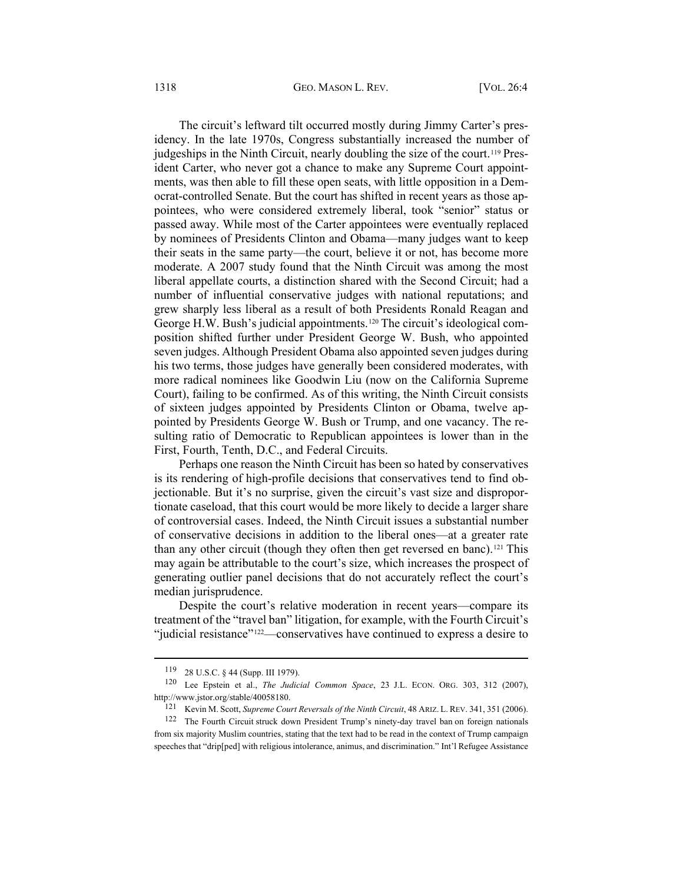The circuit's leftward tilt occurred mostly during Jimmy Carter's presidency. In the late 1970s, Congress substantially increased the number of judgeships in the Ninth Circuit, nearly doubling the size of the court.<sup>[119](#page-19-0)</sup> President Carter, who never got a chance to make any Supreme Court appointments, was then able to fill these open seats, with little opposition in a Democrat-controlled Senate. But the court has shifted in recent years as those appointees, who were considered extremely liberal, took "senior" status or passed away. While most of the Carter appointees were eventually replaced by nominees of Presidents Clinton and Obama—many judges want to keep their seats in the same party—the court, believe it or not, has become more moderate. A 2007 study found that the Ninth Circuit was among the most liberal appellate courts, a distinction shared with the Second Circuit; had a number of influential conservative judges with national reputations; and grew sharply less liberal as a result of both Presidents Ronald Reagan and George H.W. Bush's judicial appointments.<sup>[120](#page-19-1)</sup> The circuit's ideological composition shifted further under President George W. Bush, who appointed seven judges. Although President Obama also appointed seven judges during his two terms, those judges have generally been considered moderates, with more radical nominees like Goodwin Liu (now on the California Supreme Court), failing to be confirmed. As of this writing, the Ninth Circuit consists of sixteen judges appointed by Presidents Clinton or Obama, twelve appointed by Presidents George W. Bush or Trump, and one vacancy. The resulting ratio of Democratic to Republican appointees is lower than in the First, Fourth, Tenth, D.C., and Federal Circuits.

Perhaps one reason the Ninth Circuit has been so hated by conservatives is its rendering of high-profile decisions that conservatives tend to find objectionable. But it's no surprise, given the circuit's vast size and disproportionate caseload, that this court would be more likely to decide a larger share of controversial cases. Indeed, the Ninth Circuit issues a substantial number of conservative decisions in addition to the liberal ones—at a greater rate than any other circuit (though they often then get reversed en banc).<sup>[121](#page-19-2)</sup> This may again be attributable to the court's size, which increases the prospect of generating outlier panel decisions that do not accurately reflect the court's median jurisprudence.

Despite the court's relative moderation in recent years—compare its treatment of the "travel ban" litigation, for example, with the Fourth Circuit's "judicial resistance"[122—](#page-19-3)conservatives have continued to express a desire to

<sup>119</sup> 28 U.S.C. § 44 (Supp. III 1979).

<span id="page-19-1"></span><span id="page-19-0"></span><sup>120</sup> Lee Epstein et al., *The Judicial Common Space*, 23 J.L. ECON. ORG. 303, 312 (2007), [http://www.jstor.org/stable/40058180.](http://www.jstor.org/stable/40058180)

<sup>121</sup> Kevin M. Scott, *Supreme Court Reversals of the Ninth Circuit*, 48 ARIZ. L. REV. 341, 351 (2006).

<span id="page-19-3"></span><span id="page-19-2"></span><sup>122</sup> The Fourth Circuit struck down President Trump's ninety-day travel ban on foreign nationals from six majority Muslim countries, stating that the text had to be read in the context of Trump campaign speeches that "drip[ped] with religious intolerance, animus, and discrimination." Int'l Refugee Assistance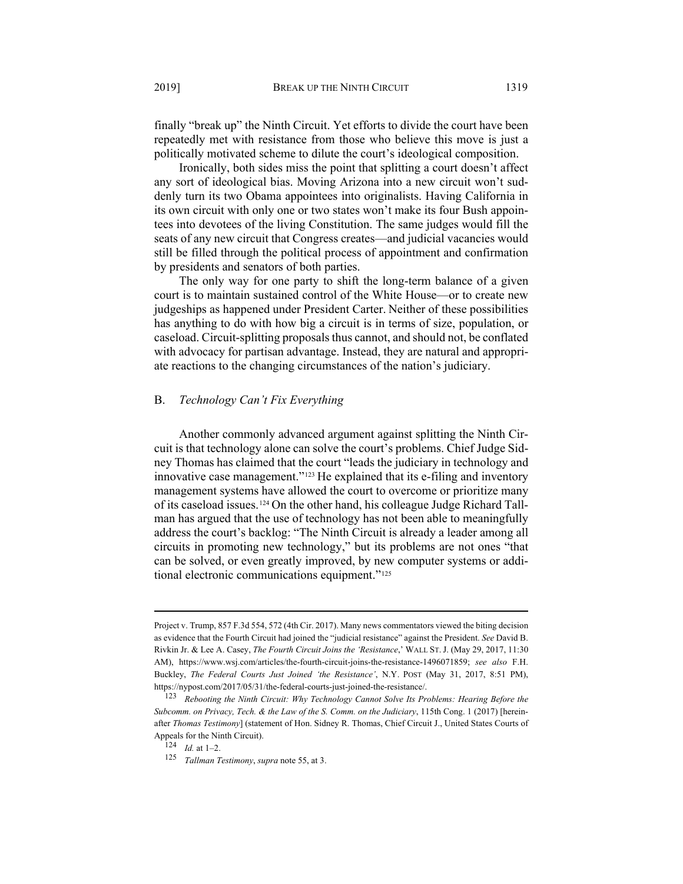finally "break up" the Ninth Circuit. Yet efforts to divide the court have been repeatedly met with resistance from those who believe this move is just a politically motivated scheme to dilute the court's ideological composition.

Ironically, both sides miss the point that splitting a court doesn't affect any sort of ideological bias. Moving Arizona into a new circuit won't suddenly turn its two Obama appointees into originalists. Having California in its own circuit with only one or two states won't make its four Bush appointees into devotees of the living Constitution. The same judges would fill the seats of any new circuit that Congress creates—and judicial vacancies would still be filled through the political process of appointment and confirmation by presidents and senators of both parties.

The only way for one party to shift the long-term balance of a given court is to maintain sustained control of the White House—or to create new judgeships as happened under President Carter. Neither of these possibilities has anything to do with how big a circuit is in terms of size, population, or caseload. Circuit-splitting proposals thus cannot, and should not, be conflated with advocacy for partisan advantage. Instead, they are natural and appropriate reactions to the changing circumstances of the nation's judiciary.

# B. *Technology Can't Fix Everything*

<span id="page-20-3"></span>Another commonly advanced argument against splitting the Ninth Circuit is that technology alone can solve the court's problems. Chief Judge Sidney Thomas has claimed that the court "leads the judiciary in technology and innovative case management."[123](#page-20-0) He explained that its e-filing and inventory management systems have allowed the court to overcome or prioritize many of its caseload issues.[124](#page-20-1) On the other hand, his colleague Judge Richard Tallman has argued that the use of technology has not been able to meaningfully address the court's backlog: "The Ninth Circuit is already a leader among all circuits in promoting new technology," but its problems are not ones "that can be solved, or even greatly improved, by new computer systems or additional electronic communications equipment."[125](#page-20-2)

Project v. Trump, 857 F.3d 554, 572 (4th Cir. 2017). Many news commentators viewed the biting decision as evidence that the Fourth Circuit had joined the "judicial resistance" against the President. *See* David B. Rivkin Jr. & Lee A. Casey, *The Fourth Circuit Joins the 'Resistance*,' WALL ST.J. (May 29, 2017, 11:30 AM), [https://www.wsj.com/articles/the-fourth-circuit-joins-the-resistance-1496071859;](https://www.wsj.com/articles/the-fourth-circuit-joins-the-resistance-1496071859) *see also* F.H. Buckley, *The Federal Courts Just Joined 'the Resistance'*, N.Y. POST (May 31, 2017, 8:51 PM), [https://nypost.com/2017/05/31/the-federal-courts-just-joined-the-resistance/.](https://nypost.com/2017/05/31/the-federal-courts-just-joined-the-resistance/)

<span id="page-20-1"></span><span id="page-20-0"></span><sup>123</sup> *Rebooting the Ninth Circuit: Why Technology Cannot Solve Its Problems: Hearing Before the Subcomm. on Privacy, Tech. & the Law of the S. Comm. on the Judiciary*, 115th Cong. 1 (2017) [hereinafter *Thomas Testimony*] (statement of Hon. Sidney R. Thomas, Chief Circuit J., United States Courts of Appeals for the Ninth Circuit).

 $\frac{1}{124}$  *Id.* at 1–2.

<span id="page-20-2"></span><sup>125</sup> *Tallman Testimony*, *supra* not[e 55,](#page-9-7) at 3.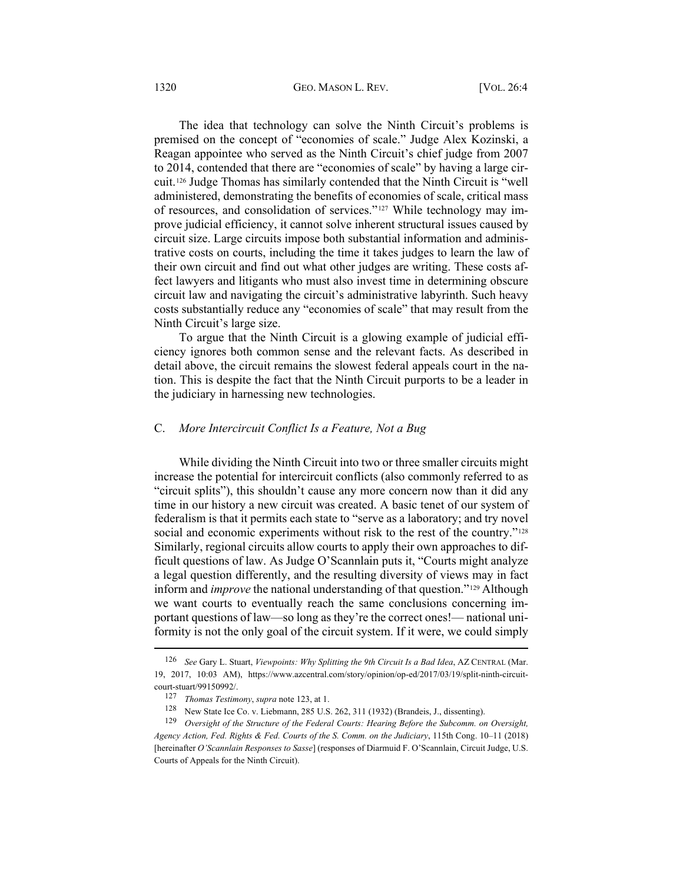The idea that technology can solve the Ninth Circuit's problems is premised on the concept of "economies of scale." Judge Alex Kozinski, a Reagan appointee who served as the Ninth Circuit's chief judge from 2007 to 2014, contended that there are "economies of scale" by having a large circuit.[126](#page-21-0) Judge Thomas has similarly contended that the Ninth Circuit is "well administered, demonstrating the benefits of economies of scale, critical mass of resources, and consolidation of services."[127](#page-21-1) While technology may improve judicial efficiency, it cannot solve inherent structural issues caused by circuit size. Large circuits impose both substantial information and administrative costs on courts, including the time it takes judges to learn the law of their own circuit and find out what other judges are writing. These costs affect lawyers and litigants who must also invest time in determining obscure circuit law and navigating the circuit's administrative labyrinth. Such heavy costs substantially reduce any "economies of scale" that may result from the Ninth Circuit's large size.

To argue that the Ninth Circuit is a glowing example of judicial efficiency ignores both common sense and the relevant facts. As described in detail above, the circuit remains the slowest federal appeals court in the nation. This is despite the fact that the Ninth Circuit purports to be a leader in the judiciary in harnessing new technologies.

## C. *More Intercircuit Conflict Is a Feature, Not a Bug*

While dividing the Ninth Circuit into two or three smaller circuits might increase the potential for intercircuit conflicts (also commonly referred to as "circuit splits"), this shouldn't cause any more concern now than it did any time in our history a new circuit was created. A basic tenet of our system of federalism is that it permits each state to "serve as a laboratory; and try novel social and economic experiments without risk to the rest of the country."<sup>[128](#page-21-2)</sup> Similarly, regional circuits allow courts to apply their own approaches to difficult questions of law. As Judge O'Scannlain puts it, "Courts might analyze a legal question differently, and the resulting diversity of views may in fact inform and *improve* the national understanding of that question."[129](#page-21-3) Although we want courts to eventually reach the same conclusions concerning important questions of law—so long as they're the correct ones!— national uniformity is not the only goal of the circuit system. If it were, we could simply

<span id="page-21-0"></span><sup>126</sup> *See* Gary L. Stuart, *Viewpoints: Why Splitting the 9th Circuit Is a Bad Idea*, AZ CENTRAL (Mar. 19, 2017, 10:03 AM), [https://www.azcentral.com/story/opinion/op-ed/2017/03/19/split-ninth-circuit](https://www.azcentral.com/story/opinion/op-ed/2017/03/19/split-ninth-circuit-court-stuart/99150992/)[court-stuart/99150992/.](https://www.azcentral.com/story/opinion/op-ed/2017/03/19/split-ninth-circuit-court-stuart/99150992/)

<span id="page-21-4"></span><sup>127</sup> *Thomas Testimony*, *supra* note [123,](#page-20-3) at 1.

<sup>128</sup> New State Ice Co. v. Liebmann, 285 U.S. 262, 311 (1932) (Brandeis, J., dissenting).

<span id="page-21-3"></span><span id="page-21-2"></span><span id="page-21-1"></span><sup>129</sup> *Oversight of the Structure of the Federal Courts: Hearing Before the Subcomm. on Oversight, Agency Action, Fed. Rights & Fed. Courts of the S. Comm. on the Judiciary*, 115th Cong. 10–11 (2018) [hereinafter *O'Scannlain Responses to Sasse*] (responses of Diarmuid F. O'Scannlain, Circuit Judge, U.S. Courts of Appeals for the Ninth Circuit).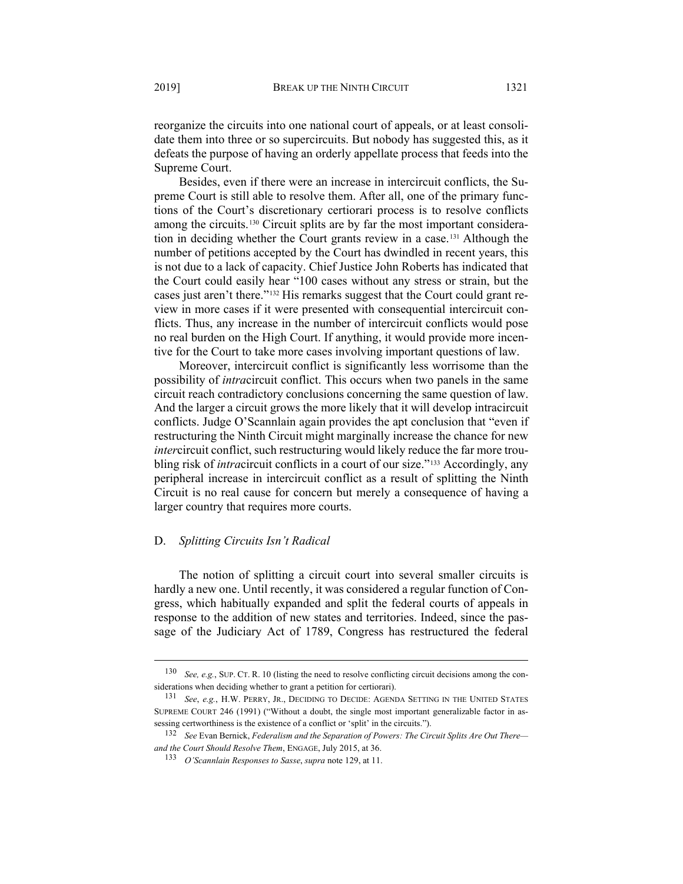reorganize the circuits into one national court of appeals, or at least consolidate them into three or so supercircuits. But nobody has suggested this, as it defeats the purpose of having an orderly appellate process that feeds into the Supreme Court.

Besides, even if there were an increase in intercircuit conflicts, the Supreme Court is still able to resolve them. After all, one of the primary functions of the Court's discretionary certiorari process is to resolve conflicts among the circuits.[130](#page-22-0) Circuit splits are by far the most important consideration in deciding whether the Court grants review in a case.[131](#page-22-1) Although the number of petitions accepted by the Court has dwindled in recent years, this is not due to a lack of capacity. Chief Justice John Roberts has indicated that the Court could easily hear "100 cases without any stress or strain, but the cases just aren't there."[132](#page-22-2) His remarks suggest that the Court could grant review in more cases if it were presented with consequential intercircuit conflicts. Thus, any increase in the number of intercircuit conflicts would pose no real burden on the High Court. If anything, it would provide more incentive for the Court to take more cases involving important questions of law.

Moreover, intercircuit conflict is significantly less worrisome than the possibility of *intra*circuit conflict. This occurs when two panels in the same circuit reach contradictory conclusions concerning the same question of law. And the larger a circuit grows the more likely that it will develop intracircuit conflicts. Judge O'Scannlain again provides the apt conclusion that "even if restructuring the Ninth Circuit might marginally increase the chance for new *inter*circuit conflict, such restructuring would likely reduce the far more troubling risk of *intra*circuit conflicts in a court of our size."[133](#page-22-3) Accordingly, any peripheral increase in intercircuit conflict as a result of splitting the Ninth Circuit is no real cause for concern but merely a consequence of having a larger country that requires more courts.

# D. *Splitting Circuits Isn't Radical*

The notion of splitting a circuit court into several smaller circuits is hardly a new one. Until recently, it was considered a regular function of Congress, which habitually expanded and split the federal courts of appeals in response to the addition of new states and territories. Indeed, since the passage of the Judiciary Act of 1789, Congress has restructured the federal

<span id="page-22-0"></span><sup>130</sup> *See, e.g.*, SUP. CT. R. 10 (listing the need to resolve conflicting circuit decisions among the considerations when deciding whether to grant a petition for certiorari).

<span id="page-22-1"></span><sup>131</sup> *See*, *e.g.*, H.W. PERRY, JR., DECIDING TO DECIDE: AGENDA SETTING IN THE UNITED STATES SUPREME COURT 246 (1991) ("Without a doubt, the single most important generalizable factor in assessing certworthiness is the existence of a conflict or 'split' in the circuits.").

<span id="page-22-3"></span><span id="page-22-2"></span><sup>132</sup> *See* Evan Bernick, *Federalism and the Separation of Powers: The Circuit Splits Are Out There and the Court Should Resolve Them*, ENGAGE, July 2015, at 36.

<sup>133</sup> *O'Scannlain Responses to Sasse*, *supra* not[e 129,](#page-21-4) at 11.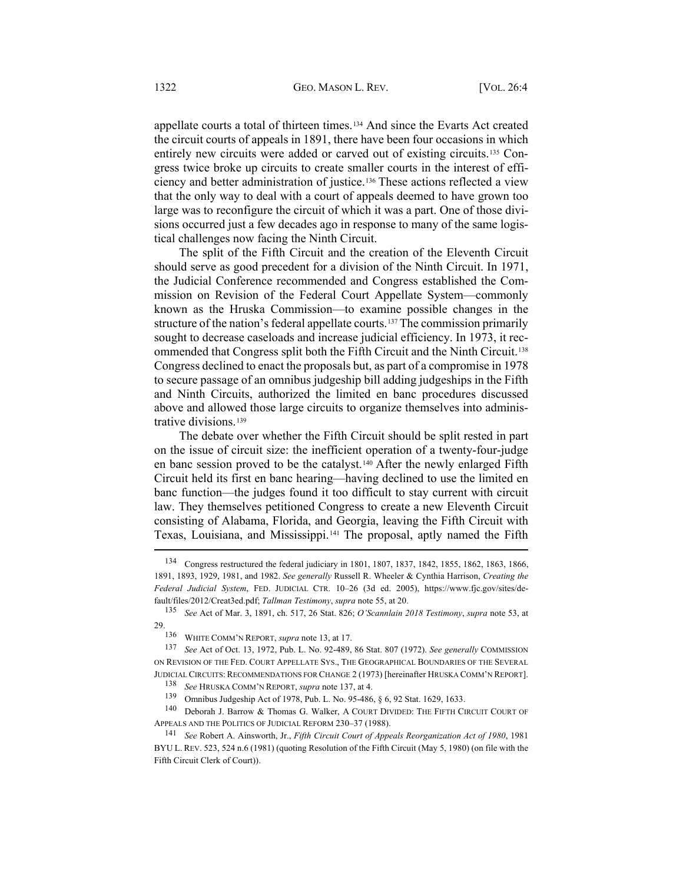appellate courts a total of thirteen times.[134](#page-23-1) And since the Evarts Act created the circuit courts of appeals in 1891, there have been four occasions in which entirely new circuits were added or carved out of existing circuits.[135](#page-23-2) Congress twice broke up circuits to create smaller courts in the interest of efficiency and better administration of justice.[136](#page-23-3) These actions reflected a view that the only way to deal with a court of appeals deemed to have grown too large was to reconfigure the circuit of which it was a part. One of those divisions occurred just a few decades ago in response to many of the same logistical challenges now facing the Ninth Circuit.

<span id="page-23-0"></span>The split of the Fifth Circuit and the creation of the Eleventh Circuit should serve as good precedent for a division of the Ninth Circuit. In 1971, the Judicial Conference recommended and Congress established the Commission on Revision of the Federal Court Appellate System—commonly known as the Hruska Commission—to examine possible changes in the structure of the nation's federal appellate courts.[137](#page-23-4) The commission primarily sought to decrease caseloads and increase judicial efficiency. In 1973, it recommended that Congress split both the Fifth Circuit and the Ninth Circuit.[138](#page-23-5) Congress declined to enact the proposals but, as part of a compromise in 1978 to secure passage of an omnibus judgeship bill adding judgeships in the Fifth and Ninth Circuits, authorized the limited en banc procedures discussed above and allowed those large circuits to organize themselves into administrative divisions.[139](#page-23-6)

The debate over whether the Fifth Circuit should be split rested in part on the issue of circuit size: the inefficient operation of a twenty-four-judge en banc session proved to be the catalyst.[140](#page-23-7) After the newly enlarged Fifth Circuit held its first en banc hearing—having declined to use the limited en banc function—the judges found it too difficult to stay current with circuit law. They themselves petitioned Congress to create a new Eleventh Circuit consisting of Alabama, Florida, and Georgia, leaving the Fifth Circuit with Texas, Louisiana, and Mississippi.[141](#page-23-8) The proposal, aptly named the Fifth

<span id="page-23-1"></span><sup>134</sup> Congress restructured the federal judiciary in 1801, 1807, 1837, 1842, 1855, 1862, 1863, 1866, 1891, 1893, 1929, 1981, and 1982. *See generally* Russell R. Wheeler & Cynthia Harrison, *Creating the Federal Judicial System*, FED. JUDICIAL CTR. 10–26 (3d ed. 2005), [https://www.fjc.gov/sites/de](https://www.fjc.gov/sites/default/files/2012/Creat3ed.pdf)[fault/files/2012/Creat3ed.pdf;](https://www.fjc.gov/sites/default/files/2012/Creat3ed.pdf) *Tallman Testimony*, *supra* not[e 55,](#page-9-7) at 20.

<span id="page-23-2"></span><sup>135</sup> *See* Act of Mar. 3, 1891, ch. 517, 26 Stat. 826; *O'Scannlain 2018 Testimony*, *supra* not[e 53,](#page-9-8) at 29.

<sup>136</sup> WHITE COMM'N REPORT, *supra* not[e 13,](#page-3-0) at 17.

<span id="page-23-4"></span><span id="page-23-3"></span><sup>137</sup> *See* Act of Oct. 13, 1972, Pub. L. No. 92-489, 86 Stat. 807 (1972). *See generally* COMMISSION ON REVISION OF THE FED. COURT APPELLATE SYS., THE GEOGRAPHICAL BOUNDARIES OF THE SEVERAL JUDICIAL CIRCUITS: RECOMMENDATIONS FOR CHANGE 2 (1973) [hereinafter HRUSKA COMM'N REPORT].

<sup>138</sup> *See* HRUSKA COMM'N REPORT, *supra* not[e 137,](#page-23-0) at 4.

<sup>139</sup> Omnibus Judgeship Act of 1978, Pub. L. No. 95-486, § 6, 92 Stat. 1629, 1633.

<span id="page-23-7"></span><span id="page-23-6"></span><span id="page-23-5"></span><sup>140</sup> Deborah J. Barrow & Thomas G. Walker, A COURT DIVIDED: THE FIFTH CIRCUIT COURT OF APPEALS AND THE POLITICS OF JUDICIAL REFORM 230–37 (1988).

<span id="page-23-8"></span><sup>141</sup> *See* Robert A. Ainsworth, Jr., *Fifth Circuit Court of Appeals Reorganization Act of 1980*, 1981 BYU L. REV. 523, 524 n.6 (1981) (quoting Resolution of the Fifth Circuit (May 5, 1980) (on file with the Fifth Circuit Clerk of Court)).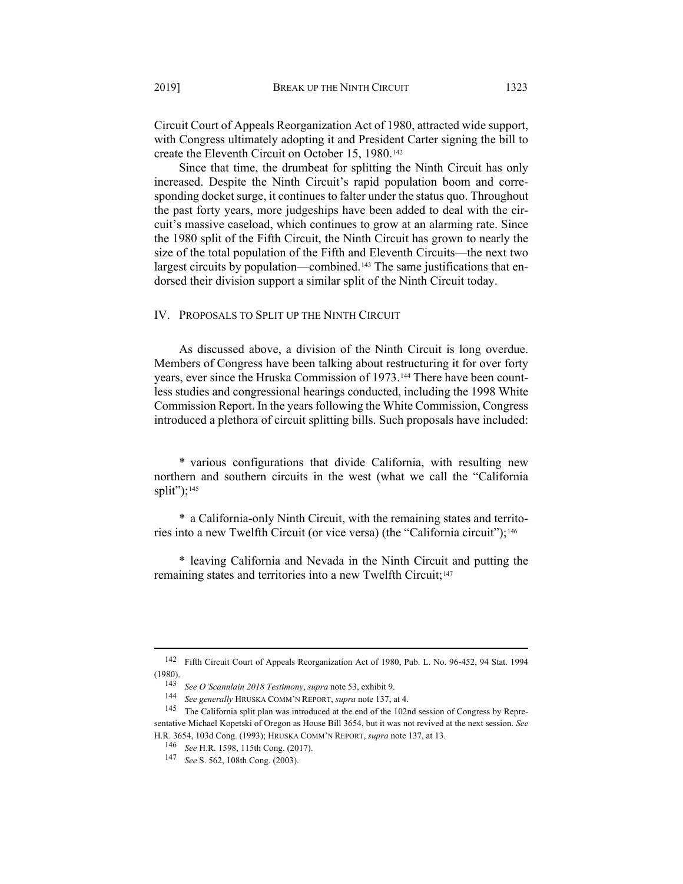Circuit Court of Appeals Reorganization Act of 1980, attracted wide support, with Congress ultimately adopting it and President Carter signing the bill to create the Eleventh Circuit on October 15, 1980.<sup>[142](#page-24-0)</sup>

Since that time, the drumbeat for splitting the Ninth Circuit has only increased. Despite the Ninth Circuit's rapid population boom and corresponding docket surge, it continues to falter under the status quo. Throughout the past forty years, more judgeships have been added to deal with the circuit's massive caseload, which continues to grow at an alarming rate. Since the 1980 split of the Fifth Circuit, the Ninth Circuit has grown to nearly the size of the total population of the Fifth and Eleventh Circuits—the next two largest circuits by population—combined.<sup>[143](#page-24-1)</sup> The same justifications that endorsed their division support a similar split of the Ninth Circuit today.

IV. PROPOSALS TO SPLIT UP THE NINTH CIRCUIT

As discussed above, a division of the Ninth Circuit is long overdue. Members of Congress have been talking about restructuring it for over forty years, ever since the Hruska Commission of 1973.<sup>[144](#page-24-2)</sup> There have been countless studies and congressional hearings conducted, including the 1998 White Commission Report. In the years following the White Commission, Congress introduced a plethora of circuit splitting bills. Such proposals have included:

\* various configurations that divide California, with resulting new northern and southern circuits in the west (what we call the "California split"); $145$ 

\* a California-only Ninth Circuit, with the remaining states and territo-ries into a new Twelfth Circuit (or vice versa) (the "California circuit");<sup>[146](#page-24-4)</sup>

\* leaving California and Nevada in the Ninth Circuit and putting the remaining states and territories into a new Twelfth Circuit;<sup>[147](#page-24-5)</sup>

<span id="page-24-1"></span><span id="page-24-0"></span><sup>142</sup> Fifth Circuit Court of Appeals Reorganization Act of 1980, Pub. L. No. 96-452, 94 Stat. 1994 (1980).

<sup>143</sup> *See O'Scannlain 2018 Testimony*, *supra* not[e 53,](#page-9-8) exhibit 9.

<sup>144</sup> *See generally* HRUSKA COMM'N REPORT, *supra* note [137,](#page-23-0) at 4.

<span id="page-24-3"></span><span id="page-24-2"></span><sup>145</sup> The California split plan was introduced at the end of the 102nd session of Congress by Representative Michael Kopetski of Oregon as House Bill 3654, but it was not revived at the next session. *See* 

<span id="page-24-5"></span><span id="page-24-4"></span>H.R. 3654, 103d Cong. (1993); HRUSKA COMM'N REPORT, *supra* not[e 137,](#page-23-0) at 13.

<sup>146</sup> *See* H.R. 1598, 115th Cong. (2017).

<sup>147</sup> *See* S. 562, 108th Cong. (2003).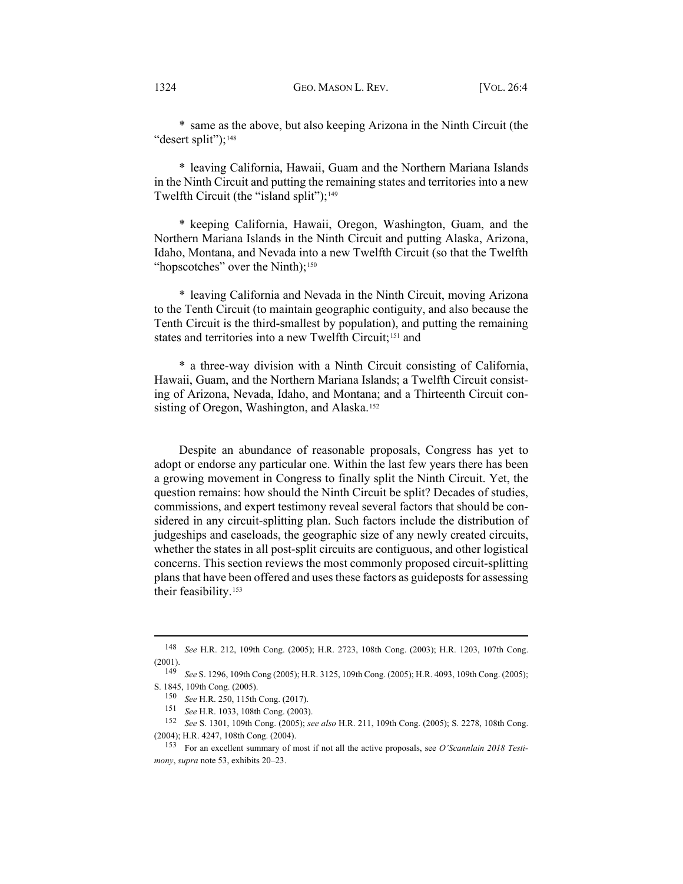\* same as the above, but also keeping Arizona in the Ninth Circuit (the "desert split");<sup>[148](#page-25-0)</sup>

\* leaving California, Hawaii, Guam and the Northern Mariana Islands in the Ninth Circuit and putting the remaining states and territories into a new Twelfth Circuit (the "island split"); $149$ 

\* keeping California, Hawaii, Oregon, Washington, Guam, and the Northern Mariana Islands in the Ninth Circuit and putting Alaska, Arizona, Idaho, Montana, and Nevada into a new Twelfth Circuit (so that the Twelfth "hopscotches" over the Ninth);<sup>[150](#page-25-2)</sup>

\* leaving California and Nevada in the Ninth Circuit, moving Arizona to the Tenth Circuit (to maintain geographic contiguity, and also because the Tenth Circuit is the third-smallest by population), and putting the remaining states and territories into a new Twelfth Circuit;<sup>[151](#page-25-3)</sup> and

\* a three-way division with a Ninth Circuit consisting of California, Hawaii, Guam, and the Northern Mariana Islands; a Twelfth Circuit consisting of Arizona, Nevada, Idaho, and Montana; and a Thirteenth Circuit con-sisting of Oregon, Washington, and Alaska.<sup>[152](#page-25-4)</sup>

Despite an abundance of reasonable proposals, Congress has yet to adopt or endorse any particular one. Within the last few years there has been a growing movement in Congress to finally split the Ninth Circuit. Yet, the question remains: how should the Ninth Circuit be split? Decades of studies, commissions, and expert testimony reveal several factors that should be considered in any circuit-splitting plan. Such factors include the distribution of judgeships and caseloads, the geographic size of any newly created circuits, whether the states in all post-split circuits are contiguous, and other logistical concerns. This section reviews the most commonly proposed circuit-splitting plans that have been offered and uses these factors as guideposts for assessing their feasibility.[153](#page-25-5)

<span id="page-25-0"></span><sup>148</sup> *See* H.R. 212, 109th Cong. (2005); H.R. 2723, 108th Cong. (2003); H.R. 1203, 107th Cong. (2001).

<span id="page-25-1"></span><sup>149</sup> *See* S. 1296, 109th Cong (2005); H.R. 3125, 109th Cong. (2005); H.R. 4093, 109th Cong. (2005); S. 1845, 109th Cong. (2005).

<sup>150</sup> *See* H.R. 250, 115th Cong. (2017).

<sup>151</sup> *See* H.R. 1033, 108th Cong. (2003).

<span id="page-25-4"></span><span id="page-25-3"></span><span id="page-25-2"></span><sup>152</sup> *See* S. 1301, 109th Cong. (2005); *see also* H.R. 211, 109th Cong. (2005); S. 2278, 108th Cong. (2004); H.R. 4247, 108th Cong. (2004).

<span id="page-25-5"></span><sup>153</sup> For an excellent summary of most if not all the active proposals, see *O'Scannlain 2018 Testimony*, *supra* not[e 53,](#page-9-8) exhibits 20–23.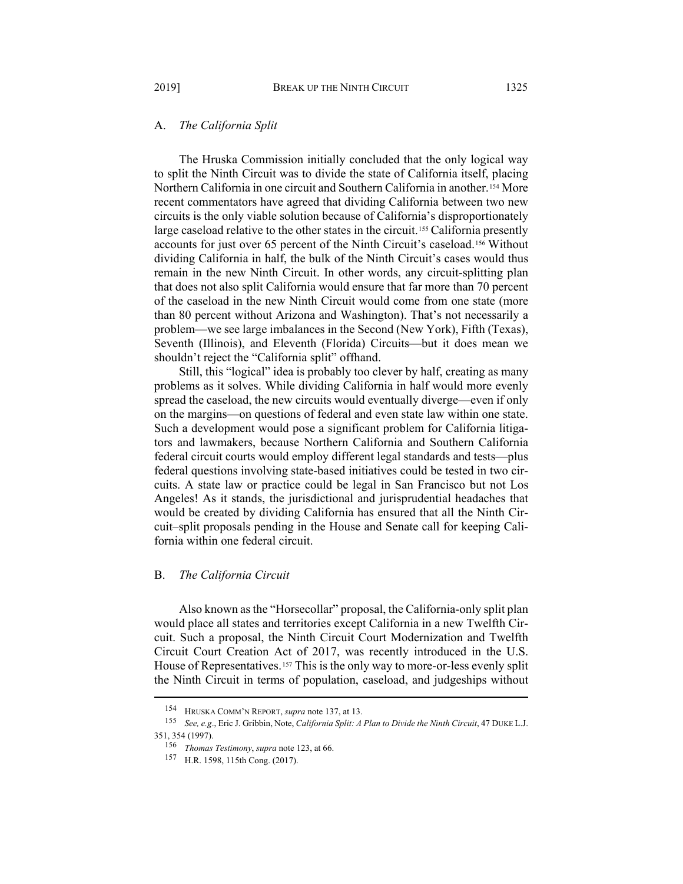### A. *The California Split*

The Hruska Commission initially concluded that the only logical way to split the Ninth Circuit was to divide the state of California itself, placing Northern California in one circuit and Southern California in another.[154](#page-26-0) More recent commentators have agreed that dividing California between two new circuits is the only viable solution because of California's disproportionately large caseload relative to the other states in the circuit.<sup>[155](#page-26-1)</sup> California presently accounts for just over 65 percent of the Ninth Circuit's caseload.[156](#page-26-2) Without dividing California in half, the bulk of the Ninth Circuit's cases would thus remain in the new Ninth Circuit. In other words, any circuit-splitting plan that does not also split California would ensure that far more than 70 percent of the caseload in the new Ninth Circuit would come from one state (more than 80 percent without Arizona and Washington). That's not necessarily a problem—we see large imbalances in the Second (New York), Fifth (Texas), Seventh (Illinois), and Eleventh (Florida) Circuits—but it does mean we shouldn't reject the "California split" offhand.

Still, this "logical" idea is probably too clever by half, creating as many problems as it solves. While dividing California in half would more evenly spread the caseload, the new circuits would eventually diverge—even if only on the margins—on questions of federal and even state law within one state. Such a development would pose a significant problem for California litigators and lawmakers, because Northern California and Southern California federal circuit courts would employ different legal standards and tests—plus federal questions involving state-based initiatives could be tested in two circuits. A state law or practice could be legal in San Francisco but not Los Angeles! As it stands, the jurisdictional and jurisprudential headaches that would be created by dividing California has ensured that all the Ninth Circuit–split proposals pending in the House and Senate call for keeping California within one federal circuit.

### B. *The California Circuit*

Also known as the "Horsecollar" proposal, the California-only split plan would place all states and territories except California in a new Twelfth Circuit. Such a proposal, the Ninth Circuit Court Modernization and Twelfth Circuit Court Creation Act of 2017, was recently introduced in the U.S. House of Representatives.<sup>[157](#page-26-3)</sup> This is the only way to more-or-less evenly split the Ninth Circuit in terms of population, caseload, and judgeships without

<sup>154</sup> HRUSKA COMM'N REPORT, *supra* not[e 137,](#page-23-0) at 13.

<span id="page-26-3"></span><span id="page-26-2"></span><span id="page-26-1"></span><span id="page-26-0"></span><sup>155</sup> *See, e.g*., Eric J. Gribbin, Note, *California Split: A Plan to Divide the Ninth Circuit*, 47 DUKE L.J. 351, 354 (1997).

<sup>156</sup> *Thomas Testimony*, *supra* note [123,](#page-20-3) at 66.

<sup>157</sup> H.R. 1598, 115th Cong. (2017).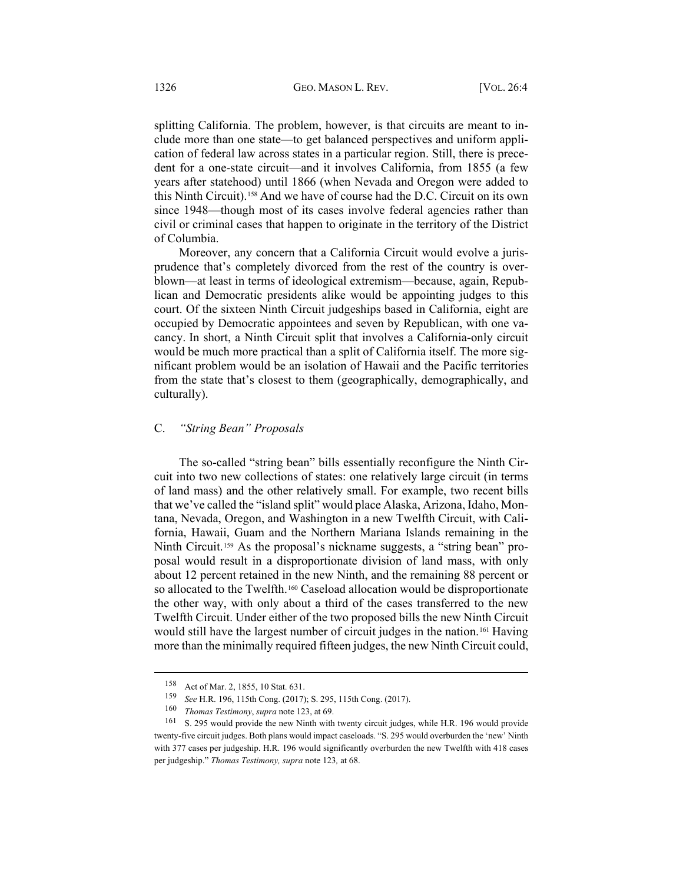splitting California. The problem, however, is that circuits are meant to include more than one state—to get balanced perspectives and uniform application of federal law across states in a particular region. Still, there is precedent for a one-state circuit—and it involves California, from 1855 (a few years after statehood) until 1866 (when Nevada and Oregon were added to this Ninth Circuit).[158](#page-27-0) And we have of course had the D.C. Circuit on its own since 1948—though most of its cases involve federal agencies rather than civil or criminal cases that happen to originate in the territory of the District of Columbia.

Moreover, any concern that a California Circuit would evolve a jurisprudence that's completely divorced from the rest of the country is overblown—at least in terms of ideological extremism—because, again, Republican and Democratic presidents alike would be appointing judges to this court. Of the sixteen Ninth Circuit judgeships based in California, eight are occupied by Democratic appointees and seven by Republican, with one vacancy. In short, a Ninth Circuit split that involves a California-only circuit would be much more practical than a split of California itself. The more significant problem would be an isolation of Hawaii and the Pacific territories from the state that's closest to them (geographically, demographically, and culturally).

## C. *"String Bean" Proposals*

The so-called "string bean" bills essentially reconfigure the Ninth Circuit into two new collections of states: one relatively large circuit (in terms of land mass) and the other relatively small. For example, two recent bills that we've called the "island split" would place Alaska, Arizona, Idaho, Montana, Nevada, Oregon, and Washington in a new Twelfth Circuit, with California, Hawaii, Guam and the Northern Mariana Islands remaining in the Ninth Circuit.[159](#page-27-1) As the proposal's nickname suggests, a "string bean" proposal would result in a disproportionate division of land mass, with only about 12 percent retained in the new Ninth, and the remaining 88 percent or so allocated to the Twelfth.<sup>[160](#page-27-2)</sup> Caseload allocation would be disproportionate the other way, with only about a third of the cases transferred to the new Twelfth Circuit. Under either of the two proposed bills the new Ninth Circuit would still have the largest number of circuit judges in the nation.[161](#page-27-3) Having more than the minimally required fifteen judges, the new Ninth Circuit could,

<sup>158</sup> Act of Mar. 2, 1855, 10 Stat. 631.

<sup>159</sup> *See* H.R. 196, 115th Cong. (2017); S. 295, 115th Cong. (2017).

<sup>160</sup> *Thomas Testimony*, *supra* note [123,](#page-20-3) at 69.

<span id="page-27-3"></span><span id="page-27-2"></span><span id="page-27-1"></span><span id="page-27-0"></span><sup>161</sup> S. 295 would provide the new Ninth with twenty circuit judges, while H.R. 196 would provide twenty-five circuit judges. Both plans would impact caseloads. "S. 295 would overburden the 'new' Ninth with 377 cases per judgeship. H.R. 196 would significantly overburden the new Twelfth with 418 cases per judgeship." *Thomas Testimony, supra* not[e 123](#page-20-3)*,* at 68.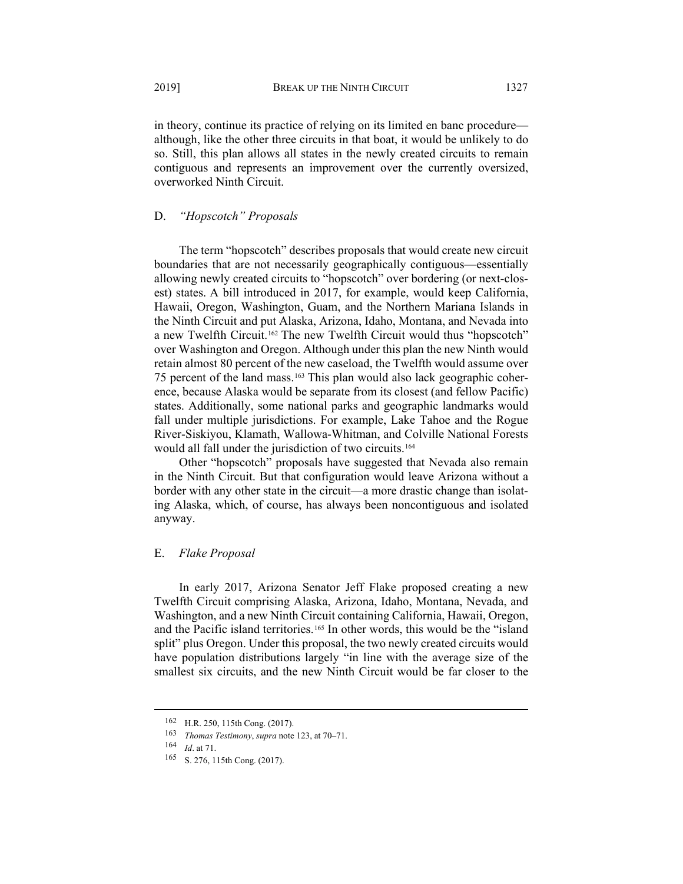in theory, continue its practice of relying on its limited en banc procedure although, like the other three circuits in that boat, it would be unlikely to do so. Still, this plan allows all states in the newly created circuits to remain contiguous and represents an improvement over the currently oversized, overworked Ninth Circuit.

# D. *"Hopscotch" Proposals*

The term "hopscotch" describes proposals that would create new circuit boundaries that are not necessarily geographically contiguous—essentially allowing newly created circuits to "hopscotch" over bordering (or next-closest) states. A bill introduced in 2017, for example, would keep California, Hawaii, Oregon, Washington, Guam, and the Northern Mariana Islands in the Ninth Circuit and put Alaska, Arizona, Idaho, Montana, and Nevada into a new Twelfth Circuit.[162](#page-28-0) The new Twelfth Circuit would thus "hopscotch" over Washington and Oregon. Although under this plan the new Ninth would retain almost 80 percent of the new caseload, the Twelfth would assume over 75 percent of the land mass.[163](#page-28-1) This plan would also lack geographic coherence, because Alaska would be separate from its closest (and fellow Pacific) states. Additionally, some national parks and geographic landmarks would fall under multiple jurisdictions. For example, Lake Tahoe and the Rogue River-Siskiyou, Klamath, Wallowa-Whitman, and Colville National Forests would all fall under the jurisdiction of two circuits.[164](#page-28-2)

Other "hopscotch" proposals have suggested that Nevada also remain in the Ninth Circuit. But that configuration would leave Arizona without a border with any other state in the circuit—a more drastic change than isolating Alaska, which, of course, has always been noncontiguous and isolated anyway.

### E. *Flake Proposal*

In early 2017, Arizona Senator Jeff Flake proposed creating a new Twelfth Circuit comprising Alaska, Arizona, Idaho, Montana, Nevada, and Washington, and a new Ninth Circuit containing California, Hawaii, Oregon, and the Pacific island territories.<sup>[165](#page-28-3)</sup> In other words, this would be the "island split" plus Oregon. Under this proposal, the two newly created circuits would have population distributions largely "in line with the average size of the smallest six circuits, and the new Ninth Circuit would be far closer to the

<span id="page-28-0"></span><sup>162</sup> H.R. 250, 115th Cong. (2017).

<span id="page-28-1"></span><sup>163</sup> *Thomas Testimony*, *supra* note [123,](#page-20-3) at 70–71.

<span id="page-28-2"></span><sup>164</sup> *Id*. at 71.

<span id="page-28-3"></span><sup>165</sup> S. 276, 115th Cong. (2017).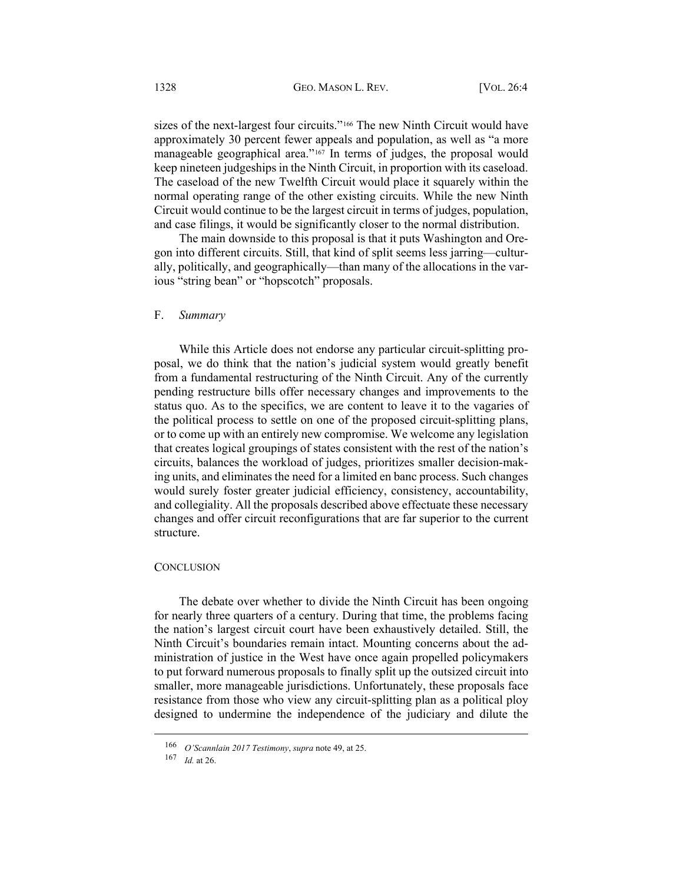sizes of the next-largest four circuits."[166](#page-29-0) The new Ninth Circuit would have approximately 30 percent fewer appeals and population, as well as "a more manageable geographical area."[167](#page-29-1) In terms of judges, the proposal would keep nineteen judgeships in the Ninth Circuit, in proportion with its caseload. The caseload of the new Twelfth Circuit would place it squarely within the normal operating range of the other existing circuits. While the new Ninth Circuit would continue to be the largest circuit in terms of judges, population, and case filings, it would be significantly closer to the normal distribution.

The main downside to this proposal is that it puts Washington and Oregon into different circuits. Still, that kind of split seems less jarring—culturally, politically, and geographically—than many of the allocations in the various "string bean" or "hopscotch" proposals.

#### F. *Summary*

While this Article does not endorse any particular circuit-splitting proposal, we do think that the nation's judicial system would greatly benefit from a fundamental restructuring of the Ninth Circuit. Any of the currently pending restructure bills offer necessary changes and improvements to the status quo. As to the specifics, we are content to leave it to the vagaries of the political process to settle on one of the proposed circuit-splitting plans, or to come up with an entirely new compromise. We welcome any legislation that creates logical groupings of states consistent with the rest of the nation's circuits, balances the workload of judges, prioritizes smaller decision-making units, and eliminates the need for a limited en banc process. Such changes would surely foster greater judicial efficiency, consistency, accountability, and collegiality. All the proposals described above effectuate these necessary changes and offer circuit reconfigurations that are far superior to the current structure.

### **CONCLUSION**

The debate over whether to divide the Ninth Circuit has been ongoing for nearly three quarters of a century. During that time, the problems facing the nation's largest circuit court have been exhaustively detailed. Still, the Ninth Circuit's boundaries remain intact. Mounting concerns about the administration of justice in the West have once again propelled policymakers to put forward numerous proposals to finally split up the outsized circuit into smaller, more manageable jurisdictions. Unfortunately, these proposals face resistance from those who view any circuit-splitting plan as a political ploy designed to undermine the independence of the judiciary and dilute the

<span id="page-29-0"></span><sup>166</sup> *O'Scannlain 2017 Testimony*, *supra* note [49,](#page-8-9) at 25.

<span id="page-29-1"></span><sup>167</sup> *Id.* at 26.